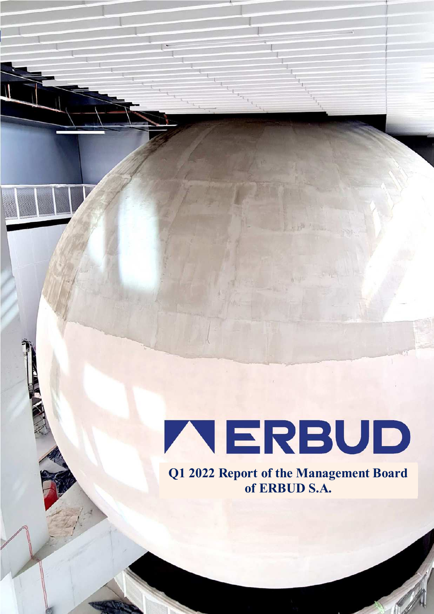# TERBUD

Separate Financial Statement as of 31 March 2022 *('000 PLN, unless specified otherwise)*

**Q1 2022 Report of the Management Board of ERBUD S.A.**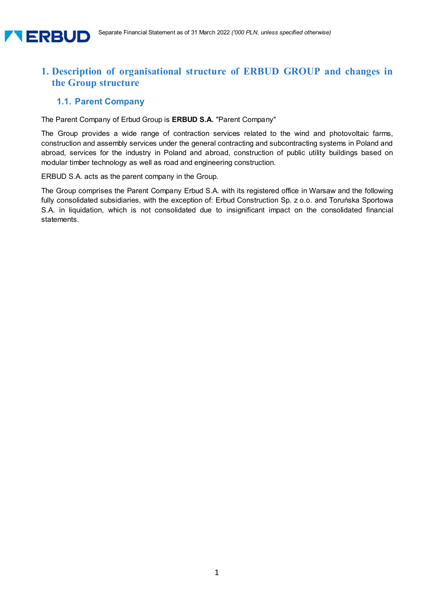

# **1. Description of organisational structure of ERBUD GROUP and changes in the Group structure**

#### **1.1. Parent Company**

The Parent Company of Erbud Group is **ERBUD S.A.** "Parent Company"

The Group provides a wide range of contraction services related to the wind and photovoltaic farms, construction and assembly services under the general contracting and subcontracting systems in Poland and abroad, services for the industry in Poland and abroad, construction of public utility buildings based on modular timber technology as well as road and engineering construction.

ERBUD S.A. acts as the parent company in the Group.

The Group comprises the Parent Company Erbud S.A. with its registered office in Warsaw and the following fully consolidated subsidiaries, with the exception of: Erbud Construction Sp. z o.o. and Toruńska Sportowa S.A. in liquidation, which is not consolidated due to insignificant impact on the consolidated financial statements.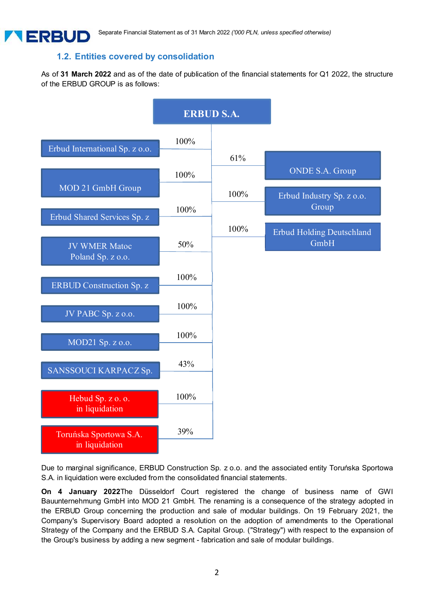# **1.2. Entities covered by consolidation**

**ALERBUD** 

As of **31 March 2022** and as of the date of publication of the financial statements for Q1 2022, the structure of the ERBUD GROUP is as follows:



Due to marginal significance, ERBUD Construction Sp. z o.o. and the associated entity Toruńska Sportowa S.A. in liquidation were excluded from the consolidated financial statements.

**On 4 January 2022**The Düsseldorf Court registered the change of business name of GWI Bauunternehmung GmbH into MOD 21 GmbH. The renaming is a consequence of the strategy adopted in the ERBUD Group concerning the production and sale of modular buildings. On 19 February 2021, the Company's Supervisory Board adopted a resolution on the adoption of amendments to the Operational Strategy of the Company and the ERBUD S.A. Capital Group. ("Strategy") with respect to the expansion of the Group's business by adding a new segment - fabrication and sale of modular buildings.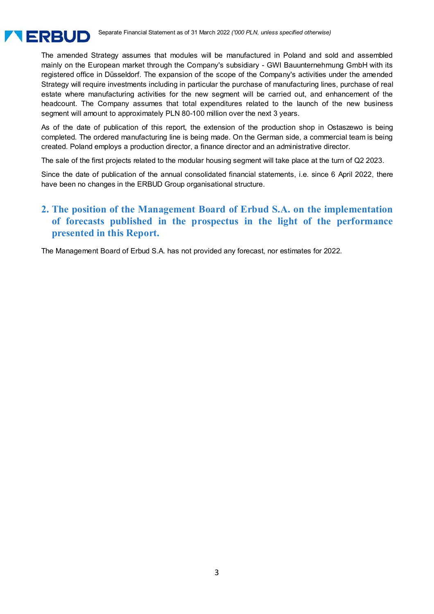

The amended Strategy assumes that modules will be manufactured in Poland and sold and assembled mainly on the European market through the Company's subsidiary - GWI Bauunternehmung GmbH with its registered office in Düsseldorf. The expansion of the scope of the Company's activities under the amended Strategy will require investments including in particular the purchase of manufacturing lines, purchase of real estate where manufacturing activities for the new segment will be carried out, and enhancement of the headcount. The Company assumes that total expenditures related to the launch of the new business segment will amount to approximately PLN 80-100 million over the next 3 years.

As of the date of publication of this report, the extension of the production shop in Ostaszewo is being completed. The ordered manufacturing line is being made. On the German side, a commercial team is being created. Poland employs a production director, a finance director and an administrative director.

The sale of the first projects related to the modular housing segment will take place at the turn of Q2 2023.

Since the date of publication of the annual consolidated financial statements, i.e. since 6 April 2022, there have been no changes in the ERBUD Group organisational structure.

# **2. The position of the Management Board of Erbud S.A. on the implementation of forecasts published in the prospectus in the light of the performance presented in this Report.**

The Management Board of Erbud S.A. has not provided any forecast, nor estimates for 2022.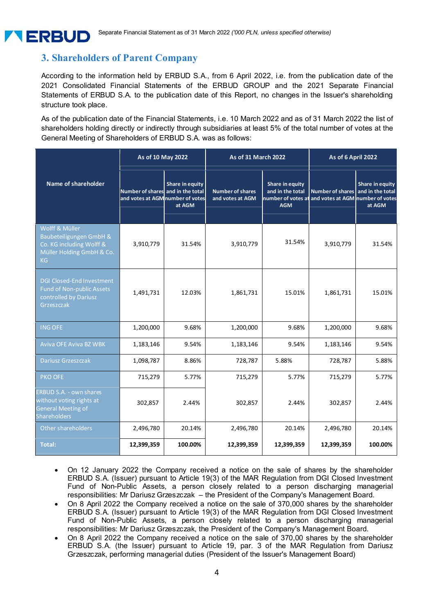# **3. Shareholders of Parent Company**

According to the information held by ERBUD S.A., from 6 April 2022, i.e. from the publication date of the 2021 Consolidated Financial Statements of the ERBUD GROUP and the 2021 Separate Financial Statements of ERBUD S.A. to the publication date of this Report, no changes in the Issuer's shareholding structure took place.

As of the publication date of the Financial Statements, i.e. 10 March 2022 and as of 31 March 2022 the list of shareholders holding directly or indirectly through subsidiaries at least 5% of the total number of votes at the General Meeting of Shareholders of ERBUD S.A. was as follows:

|                                                                                                                | As of 10 May 2022                                                     |                           | <b>As of 31 March 2022</b>                  |                                                   | As of 6 April 2022                                                             |                                                      |
|----------------------------------------------------------------------------------------------------------------|-----------------------------------------------------------------------|---------------------------|---------------------------------------------|---------------------------------------------------|--------------------------------------------------------------------------------|------------------------------------------------------|
| Name of shareholder                                                                                            | Number of shares and in the total<br>and votes at AGM number of votes | Share in equity<br>at AGM | <b>Number of shares</b><br>and votes at AGM | Share in equity<br>and in the total<br><b>AGM</b> | <b>Number of shares</b><br>number of votes at and votes at AGM number of votes | <b>Share in equity</b><br>and in the total<br>at AGM |
| Wolff & Müller<br>Baubeteiligungen GmbH &<br>Co. KG including Wolff &<br>Müller Holding GmbH & Co.<br>KG       | 3,910,779                                                             | 31.54%                    | 3,910,779                                   | 31.54%                                            | 3,910,779                                                                      | 31.54%                                               |
| <b>DGI Closed-End Investment</b><br>Fund of Non-public Assets<br>controlled by Dariusz<br>Grzeszczak           | 1,491,731                                                             | 12.03%                    | 1,861,731                                   | 15.01%                                            | 1,861,731                                                                      | 15.01%                                               |
| <b>ING OFE</b>                                                                                                 | 1,200,000                                                             | 9.68%                     | 1,200,000                                   | 9.68%                                             | 1,200,000                                                                      | 9.68%                                                |
| <b>Aviva OFE Aviva BZ WBK</b>                                                                                  | 1,183,146                                                             | 9.54%                     | 1,183,146                                   | 9.54%                                             | 1,183,146                                                                      | 9.54%                                                |
| Dariusz Grzeszczak                                                                                             | 1,098,787                                                             | 8.86%                     | 728,787                                     | 5.88%                                             | 728,787                                                                        | 5.88%                                                |
| PKO OFE                                                                                                        | 715,279                                                               | 5.77%                     | 715,279                                     | 5.77%                                             | 715,279                                                                        | 5.77%                                                |
| <b>ERBUD S.A. - own shares</b><br>without voting rights at<br><b>General Meeting of</b><br><b>Shareholders</b> | 302,857                                                               | 2.44%                     | 302,857                                     | 2.44%                                             | 302,857                                                                        | 2.44%                                                |
| Other shareholders                                                                                             | 2,496,780                                                             | 20.14%                    | 2,496,780                                   | 20.14%                                            | 2,496,780                                                                      | 20.14%                                               |
| Total:                                                                                                         | 12,399,359                                                            | 100.00%                   | 12,399,359                                  | 12,399,359                                        | 12,399,359                                                                     | 100.00%                                              |

- On 12 January 2022 the Company received a notice on the sale of shares by the shareholder ERBUD S.A. (Issuer) pursuant to Article 19(3) of the MAR Regulation from DGI Closed Investment Fund of Non-Public Assets, a person closely related to a person discharging managerial responsibilities: Mr Dariusz Grzeszczak – the President of the Company's Management Board.
- On 8 April 2022 the Company received a notice on the sale of 370,000 shares by the shareholder ERBUD S.A. (Issuer) pursuant to Article 19(3) of the MAR Regulation from DGI Closed Investment Fund of Non-Public Assets, a person closely related to a person discharging managerial responsibilities: Mr Dariusz Grzeszczak, the President of the Company's Management Board.
- On 8 April 2022 the Company received a notice on the sale of 370,00 shares by the shareholder ERBUD S.A. (the Issuer) pursuant to Article 19, par. 3 of the MAR Regulation from Dariusz Grzeszczak, performing managerial duties (President of the Issuer's Management Board)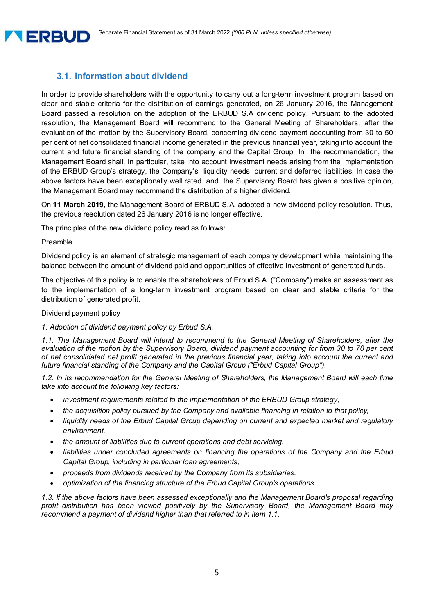# **3.1. Information about dividend**

In order to provide shareholders with the opportunity to carry out a long-term investment program based on clear and stable criteria for the distribution of earnings generated, on 26 January 2016, the Management Board passed a resolution on the adoption of the ERBUD S.A dividend policy. Pursuant to the adopted resolution, the Management Board will recommend to the General Meeting of Shareholders, after the evaluation of the motion by the Supervisory Board, concerning dividend payment accounting from 30 to 50 per cent of net consolidated financial income generated in the previous financial year, taking into account the current and future financial standing of the company and the Capital Group. In the recommendation, the Management Board shall, in particular, take into account investment needs arising from the implementation of the ERBUD Group's strategy, the Company's liquidity needs, current and deferred liabilities. In case the above factors have been exceptionally well rated and the Supervisory Board has given a positive opinion, the Management Board may recommend the distribution of a higher dividend.

On **11 March 2019,** the Management Board of ERBUD S.A. adopted a new dividend policy resolution. Thus, the previous resolution dated 26 January 2016 is no longer effective.

The principles of the new dividend policy read as follows:

#### Preamble

**A ERBUD** 

Dividend policy is an element of strategic management of each company development while maintaining the balance between the amount of dividend paid and opportunities of effective investment of generated funds.

The objective of this policy is to enable the shareholders of Erbud S.A. ("Company") make an assessment as to the implementation of a long-term investment program based on clear and stable criteria for the distribution of generated profit.

#### Dividend payment policy

#### *1. Adoption of dividend payment policy by Erbud S.A.*

*1.1. The Management Board will intend to recommend to the General Meeting of Shareholders, after the evaluation of the motion by the Supervisory Board, dividend payment accounting for from 30 to 70 per cent of net consolidated net profit generated in the previous financial year, taking into account the current and future financial standing of the Company and the Capital Group ("Erbud Capital Group").* 

1.2. In its recommendation for the General Meeting of Shareholders, the Management Board will each time *take into account the following key factors:* 

- *investment requirements related to the implementation of the ERBUD Group strategy,*
- *the acquisition policy pursued by the Company and available financing in relation to that policy,*
- *liquidity needs of the Erbud Capital Group depending on current and expected market and regulatory environment,*
- *the amount of liabilities due to current operations and debt servicing,*
- *liabilities under concluded agreements on financing the operations of the Company and the Erbud Capital Group, including in particular loan agreements,*
- *proceeds from dividends received by the Company from its subsidiaries,*
- *optimization of the financing structure of the Erbud Capital Group's operations.*

*1.3. If the above factors have been assessed exceptionally and the Management Board's proposal regarding profit distribution has been viewed positively by the Supervisory Board, the Management Board may recommend a payment of dividend higher than that referred to in item 1.1.*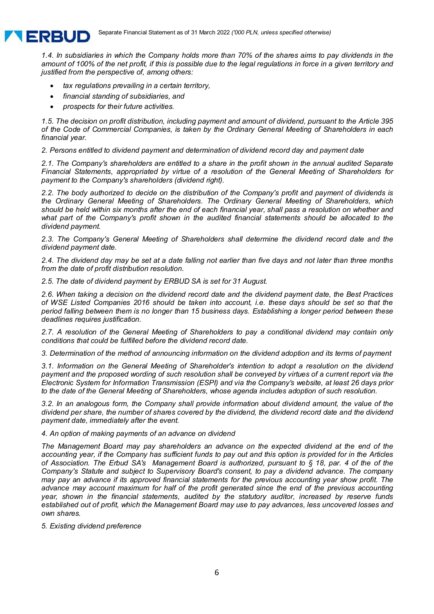

*1.4. In subsidiaries in which the Company holds more than 70% of the shares aims to pay dividends in the amount of 100% of the net profit, if this is possible due to the legal regulations in force in a given territory and justified from the perspective of, among others:* 

- *tax regulations prevailing in a certain territory,*
- *financial standing of subsidiaries, and*
- *prospects for their future activities.*

*1.5. The decision on profit distribution, including payment and amount of dividend, pursuant to the Article 395 of the Code of Commercial Companies, is taken by the Ordinary General Meeting of Shareholders in each financial year.* 

*2. Persons entitled to dividend payment and determination of dividend record day and payment date* 

*2.1. The Company's shareholders are entitled to a share in the profit shown in the annual audited Separate Financial Statements, appropriated by virtue of a resolution of the General Meeting of Shareholders for payment to the Company's shareholders (dividend right).* 

*2.2. The body authorized to decide on the distribution of the Company's profit and payment of dividends is the Ordinary General Meeting of Shareholders. The Ordinary General Meeting of Shareholders, which should be held within six months after the end of each financial year, shall pass a resolution on whether and what part of the Company's profit shown in the audited financial statements should be allocated to the dividend payment.* 

*2.3. The Company's General Meeting of Shareholders shall determine the dividend record date and the dividend payment date.* 

*2.4. The dividend day may be set at a date falling not earlier than five days and not later than three months from the date of profit distribution resolution.* 

*2.5. The date of dividend payment by ERBUD SA is set for 31 August.* 

*2.6. When taking a decision on the dividend record date and the dividend payment date, the Best Practices of WSE Listed Companies 2016 should be taken into account, i.e. these days should be set so that the period falling between them is no longer than 15 business days. Establishing a longer period between these deadlines requires justification.* 

*2.7. A resolution of the General Meeting of Shareholders to pay a conditional dividend may contain only conditions that could be fulfilled before the dividend record date.* 

*3. Determination of the method of announcing information on the dividend adoption and its terms of payment* 

*3.1. Information on the General Meeting of Shareholder's intention to adopt a resolution on the dividend payment and the proposed wording of such resolution shall be conveyed by virtues of a current report via the Electronic System for Information Transmission (ESPI) and via the Company's website, at least 26 days prior to the date of the General Meeting of Shareholders, whose agenda includes adoption of such resolution.*

*3.2. In an analogous form, the Company shall provide information about dividend amount, the value of the dividend per share, the number of shares covered by the dividend, the dividend record date and the dividend payment date, immediately after the event.* 

#### *4. An option of making payments of an advance on dividend*

*The Management Board may pay shareholders an advance on the expected dividend at the end of the accounting year, if the Company has sufficient funds to pay out and this option is provided for in the Articles of Association. The Erbud SA's Management Board is authorized, pursuant to § 18, par. 4 of the of the Company's Statute and subject to Supervisory Board's consent, to pay a dividend advance. The company may pay an advance if its approved financial statements for the previous accounting year show profit. The advance may account maximum for half of the profit generated since the end of the previous accounting year, shown in the financial statements, audited by the statutory auditor, increased by reserve funds established out of profit, which the Management Board may use to pay advances, less uncovered losses and own shares.* 

*5. Existing dividend preference*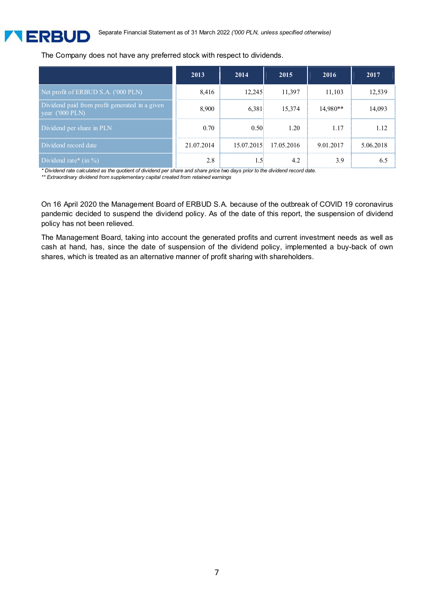

#### The Company does not have any preferred stock with respect to dividends.

|                                                                             | 2013       | 2014   | 2015                  | 2016       | 2017      |
|-----------------------------------------------------------------------------|------------|--------|-----------------------|------------|-----------|
| Net profit of ERBUD S.A. ('000 PLN)                                         | 8,416      | 12.245 | 11,397                | 11,103     | 12.539    |
| Dividend paid from profit generated in a given<br>year $(1000 \text{ PLN})$ | 8.900      | 6.381  | 15,374                | $14,980**$ | 14.093    |
| Dividend per share in PLN                                                   | 0.70       | 0.50   | 1.20                  | 1.17       | 1.12      |
| Dividend record date                                                        | 21.07.2014 |        | 15.07.2015 17.05.2016 | 9.01.2017  | 5.06.2018 |
| Dividend rate* $(in %)$                                                     | 2.8        |        | 4.2                   | 3.9        |           |

*\* Dividend rate calculated as the quotient of dividend per share and share price two days prior to the dividend record date.* 

*\*\* Extraordinary dividend from supplementary capital created from retained earnings* 

On 16 April 2020 the Management Board of ERBUD S.A. because of the outbreak of COVID 19 coronavirus pandemic decided to suspend the dividend policy. As of the date of this report, the suspension of dividend policy has not been relieved.

The Management Board, taking into account the generated profits and current investment needs as well as cash at hand, has, since the date of suspension of the dividend policy, implemented a buy-back of own shares, which is treated as an alternative manner of profit sharing with shareholders.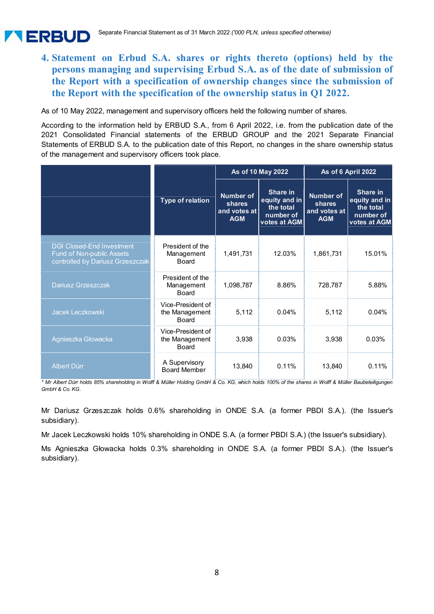# **4. Statement on Erbud S.A. shares or rights thereto (options) held by the persons managing and supervising Erbud S.A. as of the date of submission of the Report with a specification of ownership changes since the submission of the Report with the specification of the ownership status in Q1 2022.**

As of 10 May 2022, management and supervisory officers held the following number of shares.

**A ERBUD** 

According to the information held by ERBUD S.A., from 6 April 2022, i.e. from the publication date of the 2021 Consolidated Financial statements of the ERBUD GROUP and the 2021 Separate Financial Statements of ERBUD S.A. to the publication date of this Report, no changes in the share ownership status of the management and supervisory officers took place.

|                                                                                                   |                                                     |                                                          | As of 10 May 2022                                                   | As of 6 April 2022                                       |                                                                     |
|---------------------------------------------------------------------------------------------------|-----------------------------------------------------|----------------------------------------------------------|---------------------------------------------------------------------|----------------------------------------------------------|---------------------------------------------------------------------|
|                                                                                                   | <b>Type of relation</b>                             | <b>Number of</b><br>shares<br>and votes at<br><b>AGM</b> | Share in<br>equity and in<br>the total<br>number of<br>votes at AGM | <b>Number of</b><br>shares<br>and votes at<br><b>AGM</b> | Share in<br>equity and in<br>the total<br>number of<br>votes at AGM |
| <b>DGI Closed-End Investment</b><br>Fund of Non-public Assets<br>controlled by Dariusz Grzeszczak | President of the<br>Management<br><b>Board</b>      | 1,491,731                                                | 12.03%                                                              | 1,861,731                                                | 15.01%                                                              |
| Dariusz Grzeszczak                                                                                | President of the<br>Management<br><b>Board</b>      | 1,098,787                                                | 8.86%                                                               | 728,787                                                  | 5.88%                                                               |
| Jacek Leczkowski                                                                                  | Vice-President of<br>the Management<br><b>Board</b> | 5,112                                                    | 0.04%                                                               | 5,112                                                    | 0.04%                                                               |
| Agnieszka Głowacka                                                                                | Vice-President of<br>the Management<br>Board        | 3,938                                                    | 0.03%                                                               | 3,938                                                    | 0.03%                                                               |
| <b>Albert Dürr</b>                                                                                | A Supervisory<br><b>Board Member</b>                | 13,840                                                   | 0.11%                                                               | 13,840                                                   | 0.11%                                                               |

*\* Mr Albert Dürr holds 85% shareholding in Wolff & Müller Holding GmbH & Co. KG, which holds 100% of the shares in Wolff & Müller Baubeteiligungen GmbH & Co. KG.* 

Mr Dariusz Grzeszczak holds 0.6% shareholding in ONDE S.A. (a former PBDI S.A.). (the Issuer's subsidiary).

Mr Jacek Leczkowski holds 10% shareholding in ONDE S.A. (a former PBDI S.A.) (the Issuer's subsidiary).

Ms Agnieszka Głowacka holds 0.3% shareholding in ONDE S.A. (a former PBDI S.A.). (the Issuer's subsidiary).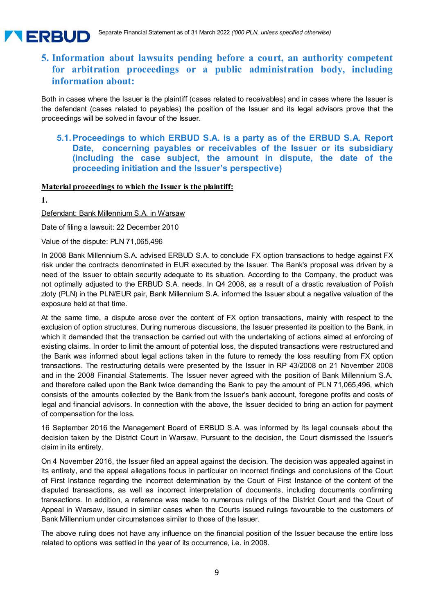# **5. Information about lawsuits pending before a court, an authority competent for arbitration proceedings or a public administration body, including information about:**

Both in cases where the Issuer is the plaintiff (cases related to receivables) and in cases where the Issuer is the defendant (cases related to payables) the position of the Issuer and its legal advisors prove that the proceedings will be solved in favour of the Issuer.

#### **5.1. Proceedings to which ERBUD S.A. is a party as of the ERBUD S.A. Report Date, concerning payables or receivables of the Issuer or its subsidiary (including the case subject, the amount in dispute, the date of the proceeding initiation and the Issuer's perspective)**

#### **Material proceedings to which the Issuer is the plaintiff:**

**1.** 

**A ERBUD** 

Defendant: Bank Millennium S.A. in Warsaw

Date of filing a lawsuit: 22 December 2010

Value of the dispute: PLN 71,065,496

In 2008 Bank Millennium S.A. advised ERBUD S.A. to conclude FX option transactions to hedge against FX risk under the contracts denominated in EUR executed by the Issuer. The Bank's proposal was driven by a need of the Issuer to obtain security adequate to its situation. According to the Company, the product was not optimally adjusted to the ERBUD S.A. needs. In Q4 2008, as a result of a drastic revaluation of Polish zloty (PLN) in the PLN/EUR pair, Bank Millennium S.A. informed the Issuer about a negative valuation of the exposure held at that time.

At the same time, a dispute arose over the content of FX option transactions, mainly with respect to the exclusion of option structures. During numerous discussions, the Issuer presented its position to the Bank, in which it demanded that the transaction be carried out with the undertaking of actions aimed at enforcing of existing claims. In order to limit the amount of potential loss, the disputed transactions were restructured and the Bank was informed about legal actions taken in the future to remedy the loss resulting from FX option transactions. The restructuring details were presented by the Issuer in RP 43/2008 on 21 November 2008 and in the 2008 Financial Statements. The Issuer never agreed with the position of Bank Millennium S.A. and therefore called upon the Bank twice demanding the Bank to pay the amount of PLN 71,065,496, which consists of the amounts collected by the Bank from the Issuer's bank account, foregone profits and costs of legal and financial advisors. In connection with the above, the Issuer decided to bring an action for payment of compensation for the loss.

16 September 2016 the Management Board of ERBUD S.A. was informed by its legal counsels about the decision taken by the District Court in Warsaw. Pursuant to the decision, the Court dismissed the Issuer's claim in its entirety.

On 4 November 2016, the Issuer filed an appeal against the decision. The decision was appealed against in its entirety, and the appeal allegations focus in particular on incorrect findings and conclusions of the Court of First Instance regarding the incorrect determination by the Court of First Instance of the content of the disputed transactions, as well as incorrect interpretation of documents, including documents confirming transactions. In addition, a reference was made to numerous rulings of the District Court and the Court of Appeal in Warsaw, issued in similar cases when the Courts issued rulings favourable to the customers of Bank Millennium under circumstances similar to those of the Issuer.

The above ruling does not have any influence on the financial position of the Issuer because the entire loss related to options was settled in the year of its occurrence, i.e. in 2008.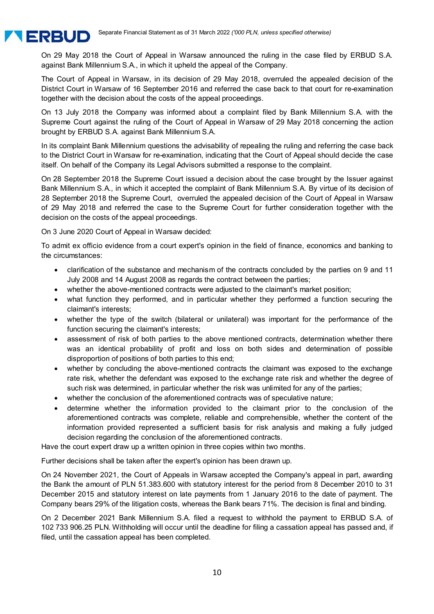

On 29 May 2018 the Court of Appeal in Warsaw announced the ruling in the case filed by ERBUD S.A. against Bank Millennium S.A., in which it upheld the appeal of the Company.

The Court of Appeal in Warsaw, in its decision of 29 May 2018, overruled the appealed decision of the District Court in Warsaw of 16 September 2016 and referred the case back to that court for re-examination together with the decision about the costs of the appeal proceedings.

On 13 July 2018 the Company was informed about a complaint filed by Bank Millennium S.A. with the Supreme Court against the ruling of the Court of Appeal in Warsaw of 29 May 2018 concerning the action brought by ERBUD S.A. against Bank Millennium S.A.

In its complaint Bank Millennium questions the advisability of repealing the ruling and referring the case back to the District Court in Warsaw for re-examination, indicating that the Court of Appeal should decide the case itself. On behalf of the Company its Legal Advisors submitted a response to the complaint.

On 28 September 2018 the Supreme Court issued a decision about the case brought by the Issuer against Bank Millennium S.A., in which it accepted the complaint of Bank Millennium S.A. By virtue of its decision of 28 September 2018 the Supreme Court, overruled the appealed decision of the Court of Appeal in Warsaw of 29 May 2018 and referred the case to the Supreme Court for further consideration together with the decision on the costs of the appeal proceedings.

On 3 June 2020 Court of Appeal in Warsaw decided:

To admit ex officio evidence from a court expert's opinion in the field of finance, economics and banking to the circumstances:

- clarification of the substance and mechanism of the contracts concluded by the parties on 9 and 11 July 2008 and 14 August 2008 as regards the contract between the parties;
- whether the above-mentioned contracts were adjusted to the claimant's market position;
- what function they performed, and in particular whether they performed a function securing the claimant's interests;
- whether the type of the switch (bilateral or unilateral) was important for the performance of the function securing the claimant's interests;
- assessment of risk of both parties to the above mentioned contracts, determination whether there was an identical probability of profit and loss on both sides and determination of possible disproportion of positions of both parties to this end;
- whether by concluding the above-mentioned contracts the claimant was exposed to the exchange rate risk, whether the defendant was exposed to the exchange rate risk and whether the degree of such risk was determined, in particular whether the risk was unlimited for any of the parties;
- whether the conclusion of the aforementioned contracts was of speculative nature;
- determine whether the information provided to the claimant prior to the conclusion of the aforementioned contracts was complete, reliable and comprehensible, whether the content of the information provided represented a sufficient basis for risk analysis and making a fully judged decision regarding the conclusion of the aforementioned contracts.

Have the court expert draw up a written opinion in three copies within two months.

Further decisions shall be taken after the expert's opinion has been drawn up.

On 24 November 2021, the Court of Appeals in Warsaw accepted the Company's appeal in part, awarding the Bank the amount of PLN 51.383.600 with statutory interest for the period from 8 December 2010 to 31 December 2015 and statutory interest on late payments from 1 January 2016 to the date of payment. The Company bears 29% of the litigation costs, whereas the Bank bears 71%. The decision is final and binding.

On 2 December 2021 Bank Millennium S.A. filed a request to withhold the payment to ERBUD S.A. of 102 733 906.25 PLN. Withholding will occur until the deadline for filing a cassation appeal has passed and, if filed, until the cassation appeal has been completed.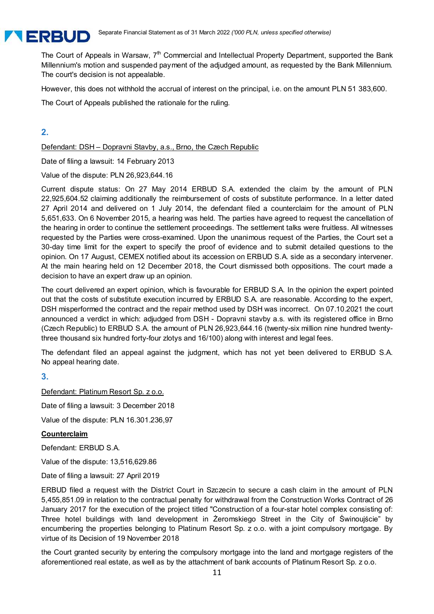

The Court of Appeals in Warsaw,  $7<sup>th</sup>$  Commercial and Intellectual Property Department, supported the Bank Millennium's motion and suspended payment of the adjudged amount, as requested by the Bank Millennium. The court's decision is not appealable.

However, this does not withhold the accrual of interest on the principal, i.e. on the amount PLN 51 383,600.

The Court of Appeals published the rationale for the ruling.

#### **2.**

Defendant: DSH – Dopravni Stavby, a.s., Brno, the Czech Republic

Date of filing a lawsuit: 14 February 2013

Value of the dispute: PLN 26,923,644.16

Current dispute status: On 27 May 2014 ERBUD S.A. extended the claim by the amount of PLN 22,925,604.52 claiming additionally the reimbursement of costs of substitute performance. In a letter dated 27 April 2014 and delivered on 1 July 2014, the defendant filed a counterclaim for the amount of PLN 5,651,633. On 6 November 2015, a hearing was held. The parties have agreed to request the cancellation of the hearing in order to continue the settlement proceedings. The settlement talks were fruitless. All witnesses requested by the Parties were cross-examined. Upon the unanimous request of the Parties, the Court set a 30-day time limit for the expert to specify the proof of evidence and to submit detailed questions to the opinion. On 17 August, CEMEX notified about its accession on ERBUD S.A. side as a secondary intervener. At the main hearing held on 12 December 2018, the Court dismissed both oppositions. The court made a decision to have an expert draw up an opinion.

The court delivered an expert opinion, which is favourable for ERBUD S.A. In the opinion the expert pointed out that the costs of substitute execution incurred by ERBUD S.A. are reasonable. According to the expert, DSH misperformed the contract and the repair method used by DSH was incorrect. On 07.10.2021 the court announced a verdict in which: adjudged from DSH - Dopravni stavby a.s. with its registered office in Brno (Czech Republic) to ERBUD S.A. the amount of PLN 26,923,644.16 (twenty-six million nine hundred twentythree thousand six hundred forty-four zlotys and 16/100) along with interest and legal fees.

The defendant filed an appeal against the judgment, which has not yet been delivered to ERBUD S.A. No appeal hearing date.

**3.** 

Defendant: Platinum Resort Sp. z o.o. Date of filing a lawsuit: 3 December 2018 Value of the dispute: PLN 16.301.236,97 **Counterclaim** 

Defendant: ERBUD S.A.

Value of the dispute: 13,516,629.86

Date of filing a lawsuit: 27 April 2019

ERBUD filed a request with the District Court in Szczecin to secure a cash claim in the amount of PLN 5,455,851.09 in relation to the contractual penalty for withdrawal from the Construction Works Contract of 26 January 2017 for the execution of the project titled "Construction of a four-star hotel complex consisting of: Three hotel buildings with land development in Żeromskiego Street in the City of Świnoujście" by encumbering the properties belonging to Platinum Resort Sp. z o.o. with a joint compulsory mortgage. By virtue of its Decision of 19 November 2018

the Court granted security by entering the compulsory mortgage into the land and mortgage registers of the aforementioned real estate, as well as by the attachment of bank accounts of Platinum Resort Sp. z o.o.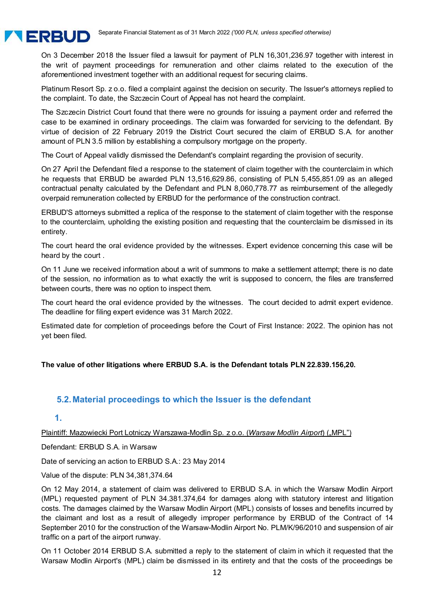

On 3 December 2018 the Issuer filed a lawsuit for payment of PLN 16,301,236.97 together with interest in the writ of payment proceedings for remuneration and other claims related to the execution of the aforementioned investment together with an additional request for securing claims.

Platinum Resort Sp. z o.o. filed a complaint against the decision on security. The Issuer's attorneys replied to the complaint. To date, the Szczecin Court of Appeal has not heard the complaint.

The Szczecin District Court found that there were no grounds for issuing a payment order and referred the case to be examined in ordinary proceedings. The claim was forwarded for servicing to the defendant. By virtue of decision of 22 February 2019 the District Court secured the claim of ERBUD S.A. for another amount of PLN 3.5 million by establishing a compulsory mortgage on the property.

The Court of Appeal validly dismissed the Defendant's complaint regarding the provision of security.

On 27 April the Defendant filed a response to the statement of claim together with the counterclaim in which he requests that ERBUD be awarded PLN 13,516,629.86, consisting of PLN 5,455,851.09 as an alleged contractual penalty calculated by the Defendant and PLN 8,060,778.77 as reimbursement of the allegedly overpaid remuneration collected by ERBUD for the performance of the construction contract.

ERBUD'S attorneys submitted a replica of the response to the statement of claim together with the response to the counterclaim, upholding the existing position and requesting that the counterclaim be dismissed in its entirety.

The court heard the oral evidence provided by the witnesses. Expert evidence concerning this case will be heard by the court .

On 11 June we received information about a writ of summons to make a settlement attempt; there is no date of the session, no information as to what exactly the writ is supposed to concern, the files are transferred between courts, there was no option to inspect them.

The court heard the oral evidence provided by the witnesses. The court decided to admit expert evidence. The deadline for filing expert evidence was 31 March 2022.

Estimated date for completion of proceedings before the Court of First Instance: 2022. The opinion has not yet been filed.

#### **The value of other litigations where ERBUD S.A. is the Defendant totals PLN 22.839.156,20.**

#### **5.2. Material proceedings to which the Issuer is the defendant**

#### **1.**

Plaintiff: Mazowiecki Port Lotniczy Warszawa-Modlin Sp. z o.o. (Warsaw Modlin Airport) ("MPL")

Defendant: ERBUD S.A. in Warsaw

Date of servicing an action to ERBUD S.A.: 23 May 2014

Value of the dispute: PLN 34,381,374.64

On 12 May 2014, a statement of claim was delivered to ERBUD S.A. in which the Warsaw Modlin Airport (MPL) requested payment of PLN 34.381.374,64 for damages along with statutory interest and litigation costs. The damages claimed by the Warsaw Modlin Airport (MPL) consists of losses and benefits incurred by the claimant and lost as a result of allegedly improper performance by ERBUD of the Contract of 14 September 2010 for the construction of the Warsaw-Modlin Airport No. PLM/K/96/2010 and suspension of air traffic on a part of the airport runway.

On 11 October 2014 ERBUD S.A. submitted a reply to the statement of claim in which it requested that the Warsaw Modlin Airport's (MPL) claim be dismissed in its entirety and that the costs of the proceedings be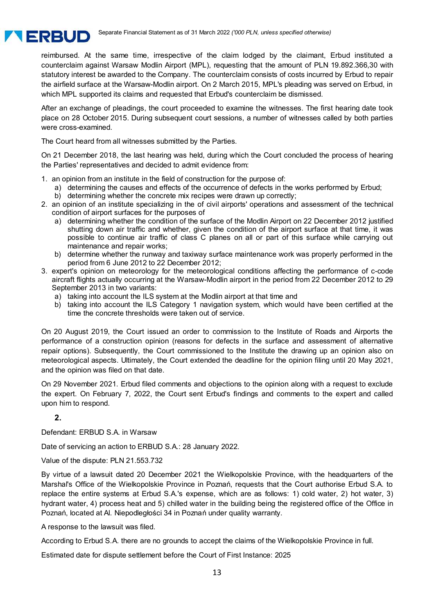

reimbursed. At the same time, irrespective of the claim lodged by the claimant, Erbud instituted a counterclaim against Warsaw Modlin Airport (MPL), requesting that the amount of PLN 19.892.366,30 with statutory interest be awarded to the Company. The counterclaim consists of costs incurred by Erbud to repair the airfield surface at the Warsaw-Modlin airport. On 2 March 2015, MPL's pleading was served on Erbud, in which MPL supported its claims and requested that Erbud's counterclaim be dismissed.

After an exchange of pleadings, the court proceeded to examine the witnesses. The first hearing date took place on 28 October 2015. During subsequent court sessions, a number of witnesses called by both parties were cross-examined.

The Court heard from all witnesses submitted by the Parties.

On 21 December 2018, the last hearing was held, during which the Court concluded the process of hearing the Parties' representatives and decided to admit evidence from:

- 1. an opinion from an institute in the field of construction for the purpose of:
	- a) determining the causes and effects of the occurrence of defects in the works performed by Erbud;
	- b) determining whether the concrete mix recipes were drawn up correctly;
- 2. an opinion of an institute specializing in the of civil airports' operations and assessment of the technical condition of airport surfaces for the purposes of
	- a) determining whether the condition of the surface of the Modlin Airport on 22 December 2012 justified shutting down air traffic and whether, given the condition of the airport surface at that time, it was possible to continue air traffic of class C planes on all or part of this surface while carrying out maintenance and repair works;
	- b) determine whether the runway and taxiway surface maintenance work was properly performed in the period from 6 June 2012 to 22 December 2012;
- 3. expert's opinion on meteorology for the meteorological conditions affecting the performance of c-code aircraft flights actually occurring at the Warsaw-Modlin airport in the period from 22 December 2012 to 29 September 2013 in two variants:
	- a) taking into account the ILS system at the Modlin airport at that time and
	- b) taking into account the ILS Category 1 navigation system, which would have been certified at the time the concrete thresholds were taken out of service.

On 20 August 2019, the Court issued an order to commission to the Institute of Roads and Airports the performance of a construction opinion (reasons for defects in the surface and assessment of alternative repair options). Subsequently, the Court commissioned to the Institute the drawing up an opinion also on meteorological aspects. Ultimately, the Court extended the deadline for the opinion filing until 20 May 2021, and the opinion was filed on that date.

On 29 November 2021. Erbud filed comments and objections to the opinion along with a request to exclude the expert. On February 7, 2022, the Court sent Erbud's findings and comments to the expert and called upon him to respond.

#### **2.**

Defendant: ERBUD S.A. in Warsaw

Date of servicing an action to ERBUD S.A.: 28 January 2022.

Value of the dispute: PLN 21.553.732

By virtue of a lawsuit dated 20 December 2021 the Wielkopolskie Province, with the headquarters of the Marshal's Office of the Wielkopolskie Province in Poznań, requests that the Court authorise Erbud S.A. to replace the entire systems at Erbud S.A.'s expense, which are as follows: 1) cold water, 2) hot water, 3) hydrant water, 4) process heat and 5) chilled water in the building being the registered office of the Office in Poznań, located at Al. Niepodległości 34 in Poznań under quality warranty.

A response to the lawsuit was filed.

According to Erbud S.A. there are no grounds to accept the claims of the Wielkopolskie Province in full.

Estimated date for dispute settlement before the Court of First Instance: 2025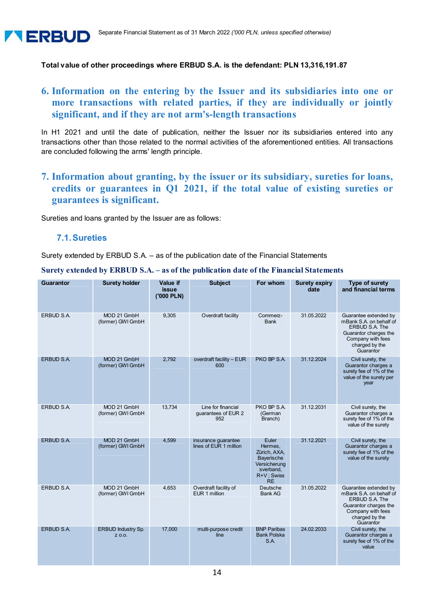#### **Total value of other proceedings where ERBUD S.A. is the defendant: PLN 13,316,191.87**

# **6. Information on the entering by the Issuer and its subsidiaries into one or more transactions with related parties, if they are individually or jointly significant, and if they are not arm's-length transactions**

In H1 2021 and until the date of publication, neither the Issuer nor its subsidiaries entered into any transactions other than those related to the normal activities of the aforementioned entities. All transactions are concluded following the arms' length principle.

**7. Information about granting, by the issuer or its subsidiary, sureties for loans, credits or guarantees in Q1 2021, if the total value of existing sureties or guarantees is significant.** 

Sureties and loans granted by the Issuer are as follows:

#### **7.1. Sureties**

Surety extended by ERBUD S.A. – as of the publication date of the Financial Statements

|  | Surety extended by ERBUD S.A. – as of the publication date of the Financial Statements |
|--|----------------------------------------------------------------------------------------|
|  |                                                                                        |

| <b>Guarantor</b>  | <b>Surety holder</b>             | <b>Value if</b><br><b>issue</b><br>('000 PLN) | <b>Subject</b>                                   | For whom                                                                                               | <b>Surety expiry</b><br>date | <b>Type of surety</b><br>and financial terms                                                                                                           |
|-------------------|----------------------------------|-----------------------------------------------|--------------------------------------------------|--------------------------------------------------------------------------------------------------------|------------------------------|--------------------------------------------------------------------------------------------------------------------------------------------------------|
| <b>ERBUD S.A.</b> | MOD 21 GmbH<br>(former) GWI GmbH | 9,305                                         | Overdraft facility                               | Commerz-<br><b>Bank</b>                                                                                | 31.05.2022                   | Guarantee extended by<br>mBank S.A. on behalf of<br><b>ERBUD S.A. The</b><br>Guarantor charges the<br>Company with fees<br>charged by the<br>Guarantor |
| ERBUD S.A.        | MOD 21 GmbH<br>(former) GWI GmbH | 2,792                                         | overdraft facility - EUR<br>600                  | PKO BP S.A.                                                                                            | 31.12.2024                   | Civil surety, the<br>Guarantor charges a<br>surety fee of 1% of the<br>value of the surety per<br>year                                                 |
| ERBUD S.A.        | MOD 21 GmbH<br>(former) GWI GmbH | 13,734                                        | Line for financial<br>quarantees of EUR 2<br>952 | PKO BP S.A.<br>(German<br>Branch)                                                                      | 31.12.2031                   | Civil surety, the<br>Guarantor charges a<br>surety fee of 1% of the<br>value of the surety                                                             |
| ERBUD S.A.        | MOD 21 GmbH<br>(former) GWI GmbH | 4,599                                         | insurance guarantee<br>lines of EUR 1 million    | Euler<br>Hermes,<br>Zürich, AXA,<br>Bayerische<br>Versicherung<br>sverband,<br>R+V; Swiss<br><b>RE</b> | 31.12.2021                   | Civil surety, the<br>Guarantor charges a<br>surety fee of 1% of the<br>value of the surety                                                             |
| <b>ERBUD S.A.</b> | MOD 21 GmbH<br>(former) GWI GmbH | 4,653                                         | Overdraft facility of<br>EUR 1 million           | Deutsche<br><b>Bank AG</b>                                                                             | 31.05.2022                   | Guarantee extended by<br>mBank S.A. on behalf of<br><b>ERBUD S.A. The</b><br>Guarantor charges the<br>Company with fees<br>charged by the<br>Guarantor |
| ERBUD S.A.        | ERBUD Industry Sp.<br>Z 0.0.     | 17,000                                        | multi-purpose credit<br>line                     | <b>BNP Paribas</b><br><b>Bank Polska</b><br>S.A.                                                       | 24.02.2033                   | Civil surety, the<br>Guarantor charges a<br>surety fee of 1% of the<br>value                                                                           |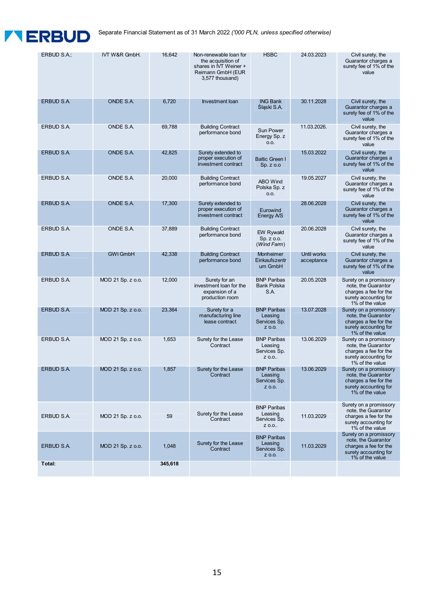# **TERBUD**

Separate Financial Statement as of 31 March 2022 *('000 PLN, unless specified otherwise)*

| ERBUD S.A.;       | IVT W&R GmbH.     | 16,642  | Non-renewable loan for<br>the acquisition of<br>shares in IVT Weiner +<br>Reimann GmbH (EUR<br>3,577 thousand) | <b>HSBC</b>                                             | 24.03.2023                | Civil surety, the<br>Guarantor charges a<br>surety fee of 1% of the<br>value                                       |
|-------------------|-------------------|---------|----------------------------------------------------------------------------------------------------------------|---------------------------------------------------------|---------------------------|--------------------------------------------------------------------------------------------------------------------|
| <b>ERBUD S.A.</b> | ONDE S.A.         | 6,720   | <b>Investment loan</b>                                                                                         | <b>ING Bank</b><br>Sląski S.A.                          | 30.11.2028                | Civil surety, the<br>Guarantor charges a<br>surety fee of 1% of the<br>value                                       |
| ERBUD S.A.        | ONDE S.A.         | 69.788  | <b>Building Contract</b><br>performance bond                                                                   | <b>Sun Power</b><br>Energy Sp. z<br>0.0.                | 11.03.2026.               | Civil surety, the<br>Guarantor charges a<br>surety fee of 1% of the<br>value                                       |
| ERBUD S.A.        | ONDE S.A.         | 42,825  | Surety extended to<br>proper execution of<br>investment contract                                               | <b>Baltic Green I</b><br>$Sp. z.$ 0.0                   | 15.03.2022                | Civil surety, the<br>Guarantor charges a<br>surety fee of 1% of the<br>value                                       |
| ERBUD S.A.        | ONDE S.A.         | 20,000  | <b>Building Contract</b><br>performance bond                                                                   | ABO Wind<br>Polska Sp. z<br>0.0.                        | 19.05.2027                | Civil surety, the<br>Guarantor charges a<br>surety fee of 1% of the<br>value                                       |
| ERBUD S.A.        | <b>ONDE S.A.</b>  | 17,300  | Surety extended to<br>proper execution of<br>investment contract                                               | Eurowind<br>Energy A/S                                  | 28.06.2028                | Civil surety, the<br>Guarantor charges a<br>surety fee of 1% of the<br>value                                       |
| ERBUD S.A.        | ONDE S.A.         | 37,889  | <b>Building Contract</b><br>performance bond                                                                   | <b>EW Rywałd</b><br>Sp. z o.o.<br>(Wind Farm)           | 20.06.2028                | Civil surety, the<br>Guarantor charges a<br>surety fee of 1% of the<br>value                                       |
| ERBUD S.A.        | <b>GWI GmbH</b>   | 42,338  | <b>Building Contract</b><br>performance bond                                                                   | Monheimer<br>Einkaufszentr<br>um GmbH                   | Until works<br>acceptance | Civil surety, the<br>Guarantor charges a<br>surety fee of 1% of the<br>value                                       |
| ERBUD S.A.        | MOD 21 Sp. z o.o. | 12,000  | Surety for an<br>investment loan for the<br>expansion of a<br>production room                                  | <b>BNP Paribas</b><br><b>Bank Polska</b><br>S.A.        | 20.05.2028                | Surety on a promissory<br>note, the Guarantor<br>charges a fee for the<br>surety accounting for<br>1% of the value |
| ERBUD S.A.        | MOD 21 Sp. z o.o. | 23,364  | Surety for a<br>manufacturing line<br>lease contract                                                           | <b>BNP Paribas</b><br>Leasing<br>Services Sp.<br>Z 0.0. | 13.07.2028                | Surety on a promissory<br>note, the Guarantor<br>charges a fee for the<br>surety accounting for<br>1% of the value |
| ERBUD S.A.        | MOD 21 Sp. z o.o. | 1,653   | Surety for the Lease<br>Contract                                                                               | <b>BNP Paribas</b><br>Leasing<br>Services Sp.<br>Z 0.0  | 13.06.2029                | Surety on a promissory<br>note, the Guarantor<br>charges a fee for the<br>surety accounting for<br>1% of the value |
| <b>ERBUD S.A.</b> | MOD 21 Sp. z o.o. | 1,857   | Surety for the Lease<br>Contract                                                                               | <b>BNP Paribas</b><br>Leasing<br>Services Sp.<br>Z 0.0. | 13.06.2029                | Surety on a promissory<br>note, the Guarantor<br>charges a fee for the<br>surety accounting for<br>1% of the value |
| ERBUD S.A.        | MOD 21 Sp. z o.o. | 59      | Surety for the Lease<br>Contract                                                                               | <b>BNP Paribas</b><br>Leasing<br>Services Sp.<br>Z 0.0  | 11.03.2029                | Surety on a promissory<br>note, the Guarantor<br>charges a fee for the<br>surety accounting for<br>1% of the value |
| ERBUD S.A.        | MOD 21 Sp. z o.o. | 1,048   | Surety for the Lease<br>Contract                                                                               | <b>BNP Paribas</b><br>Leasing<br>Services Sp.<br>Z 0.0. | 11.03.2029                | Surety on a promissory<br>note, the Guarantor<br>charges a fee for the<br>surety accounting for<br>1% of the value |
| Total:            |                   | 345,618 |                                                                                                                |                                                         |                           |                                                                                                                    |
|                   |                   |         |                                                                                                                |                                                         |                           |                                                                                                                    |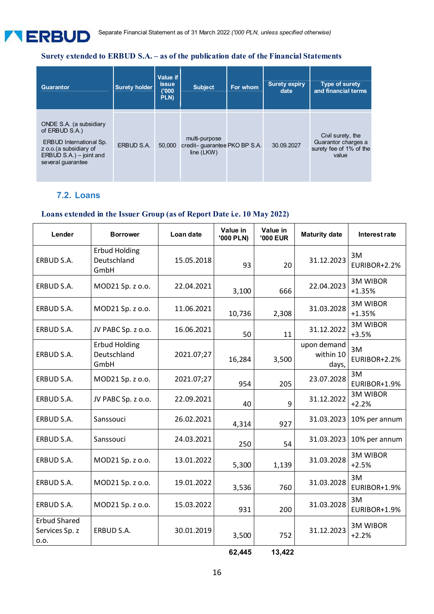# **Surety extended to ERBUD S.A. – as of the publication date of the Financial Statements**

| <b>Guarantor</b>                                                                                                                                       | <b>Surety holder</b> | Value if<br><b>issue</b><br>(000)<br>PLN) | <b>Subject</b>                                                | For whom | <b>Surety expiry</b><br>date | <b>Type of surety</b><br>and financial terms                                 |
|--------------------------------------------------------------------------------------------------------------------------------------------------------|----------------------|-------------------------------------------|---------------------------------------------------------------|----------|------------------------------|------------------------------------------------------------------------------|
| ONDE S.A. (a subsidiary<br>of ERBUD S.A.)<br><b>ERBUD International Sp.</b><br>z o.o. (a subsidiary of<br>ERBUD S.A.) - joint and<br>several guarantee | ERBUD S.A.           | 50,000                                    | multi-purpose<br>credit-quarantee PKO BP S.A.<br>line $(LKW)$ |          | 30.09.2027                   | Civil surety, the<br>Guarantor charges a<br>surety fee of 1% of the<br>value |

#### **7.2. Loans**

#### **Loans extended in the Issuer Group (as of Report Date i.e. 10 May 2022)**

| Lender                                        | <b>Borrower</b>                             | Loan date  | Value in<br>'000 PLN) | Value in<br><b>'000 EUR</b> | <b>Maturity date</b>              | Interest rate               |
|-----------------------------------------------|---------------------------------------------|------------|-----------------------|-----------------------------|-----------------------------------|-----------------------------|
| ERBUD S.A.                                    | <b>Erbud Holding</b><br>Deutschland<br>GmbH | 15.05.2018 | 93                    | 20                          | 31.12.2023                        | 3M<br>EURIBOR+2.2%          |
| ERBUD S.A.                                    | MOD21 Sp. z o.o.                            | 22.04.2021 | 3,100                 | 666                         | 22.04.2023                        | <b>3M WIBOR</b><br>$+1.35%$ |
| ERBUD S.A.                                    | MOD21 Sp. z o.o.                            | 11.06.2021 | 10,736                | 2,308                       | 31.03.2028                        | <b>3M WIBOR</b><br>$+1.35%$ |
| ERBUD S.A.                                    | JV PABC Sp. z o.o.                          | 16.06.2021 | 50                    | 11                          | 31.12.2022                        | <b>3M WIBOR</b><br>$+3.5%$  |
| ERBUD S.A.                                    | <b>Erbud Holding</b><br>Deutschland<br>GmbH | 2021.07;27 | 16,284                | 3,500                       | upon demand<br>within 10<br>days, | 3M<br>EURIBOR+2.2%          |
| ERBUD S.A.                                    | MOD21 Sp. z o.o.                            | 2021.07;27 | 954                   | 205                         | 23.07.2028                        | 3M<br>EURIBOR+1.9%          |
| ERBUD S.A.                                    | JV PABC Sp. z o.o.                          | 22.09.2021 | 40                    | 9                           | 31.12.2022                        | <b>3M WIBOR</b><br>$+2.2%$  |
| ERBUD S.A.                                    | Sanssouci                                   | 26.02.2021 | 4,314                 | 927                         | 31.03.2023                        | 10% per annum               |
| ERBUD S.A.                                    | Sanssouci                                   | 24.03.2021 | 250                   | 54                          | 31.03.2023                        | 10% per annum               |
| ERBUD S.A.                                    | MOD21 Sp. z o.o.                            | 13.01.2022 | 5,300                 | 1,139                       | 31.03.2028                        | <b>3M WIBOR</b><br>$+2.5%$  |
| ERBUD S.A.                                    | MOD21 Sp. z o.o.                            | 19.01.2022 | 3,536                 | 760                         | 31.03.2028                        | 3M<br>EURIBOR+1.9%          |
| ERBUD S.A.                                    | MOD21 Sp. z o.o.                            | 15.03.2022 | 931                   | 200                         | 31.03.2028                        | 3M<br>EURIBOR+1.9%          |
| <b>Erbud Shared</b><br>Services Sp. z<br>0.0. | ERBUD S.A.                                  | 30.01.2019 | 3,500                 | 752                         | 31.12.2023                        | <b>3M WIBOR</b><br>$+2.2%$  |

**62,445 13,422**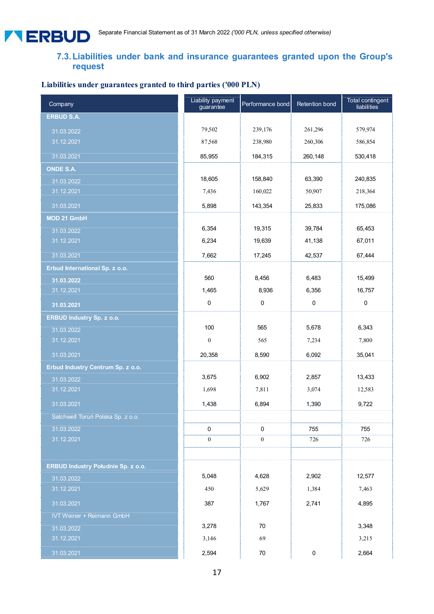# **7.3. Liabilities under bank and insurance guarantees granted upon the Group's request**

# **Liabilities under guarantees granted to third parties ('000 PLN)**

| Company                                   | Liability payment<br>guarantee | Performance bond | Retention bond | Total contingent<br>liabilities |
|-------------------------------------------|--------------------------------|------------------|----------------|---------------------------------|
| <b>ERBUD S.A.</b>                         |                                |                  |                |                                 |
| 31.03.2022                                | 79,502                         | 239,176          | 261,296        | 579,974                         |
| 31.12.2021                                | 87,568                         | 238,980          | 260,306        | 586,854                         |
| 31.03.2021                                | 85,955                         | 184,315          | 260,148        | 530,418                         |
| <b>ONDE S.A.</b>                          |                                |                  |                |                                 |
| 31.03.2022                                | 18,605                         | 158,840          | 63,390         | 240,835                         |
| 31.12.2021                                | 7,436                          | 160,022          | 50,907         | 218,364                         |
| 31.03.2021                                | 5,898                          | 143,354          | 25,833         | 175,086                         |
| MOD 21 GmbH                               |                                |                  |                |                                 |
| 31.03.2022                                | 6,354                          | 19,315           | 39,784         | 65,453                          |
| 31.12.2021                                | 6,234                          | 19,639           | 41,138         | 67,011                          |
| 31.03.2021                                | 7,662                          | 17,245           | 42,537         | 67,444                          |
| Erbud International Sp. z o.o.            |                                |                  |                |                                 |
| 31.03.2022                                | 560                            | 8,456            | 6,483          | 15,499                          |
| 31.12.2021                                | 1,465                          | 8,936            | 6,356          | 16,757                          |
| 31.03.2021                                | 0                              | 0                | 0              | 0                               |
| <b>ERBUD Industry Sp. z o.o.</b>          |                                |                  |                |                                 |
| 31.03.2022                                | 100                            | 565              | 5,678          | 6,343                           |
| 31.12.2021                                | $\boldsymbol{0}$               | 565              | 7,234          | 7,800                           |
| 31.03.2021                                | 20,358                         | 8,590            | 6,092          | 35,041                          |
| Erbud Industry Centrum Sp. z o.o.         |                                |                  |                |                                 |
| 31.03.2022                                | 3,675                          | 6,902            | 2,857          | 13,433                          |
| 31.12.2021                                | 1,698                          | 7,811            | 3,074          | 12,583                          |
| 31.03.2021                                | 1,438                          | 6,894            | 1,390          | 9,722                           |
| Satchwell Toruń Polska Sp. z o.o.         |                                |                  |                |                                 |
| 31.03.2022                                | 0                              | 0                | 755            | 755                             |
| 31.12.2021                                | $\boldsymbol{0}$               | $\boldsymbol{0}$ | 726            | 726                             |
|                                           |                                |                  |                |                                 |
| <b>ERBUD Industry Południe Sp. z o.o.</b> |                                |                  |                |                                 |
| 31.03.2022                                | 5,048                          | 4,628            | 2,902          | 12,577                          |
| 31.12.2021                                | 450                            | 5,629            | 1,384          | 7,463                           |
| 31.03.2021                                | 387                            | 1,767            | 2,741          | 4,895                           |
| <b>IVT Weiner + Reimann GmbH</b>          |                                |                  |                |                                 |
| 31.03.2022                                | 3,278                          | 70               |                | 3,348                           |
| 31.12.2021                                | 3,146                          | 69               |                | 3,215                           |
| 31.03.2021                                | 2,594                          | $70\,$           | $\pmb{0}$      | 2,664                           |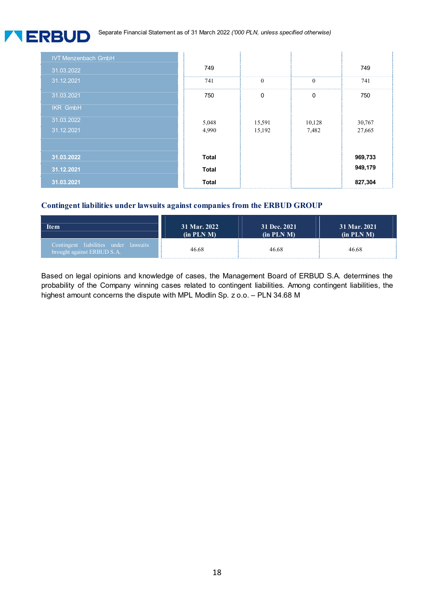Separate Financial Statement as of 31 March 2022 *('000 PLN, unless specified otherwise)*

**TERBUD** 

| <b>IVT Menzenbach GmbH</b> |              |              |          |         |
|----------------------------|--------------|--------------|----------|---------|
| 31.03.2022                 | 749          |              |          | 749     |
| 31.12.2021                 | 741          | $\mathbf{0}$ | $\bf{0}$ | 741     |
| 31.03.2021                 | 750          | 0            | $\Omega$ | 750     |
| <b>IKR GmbH</b>            |              |              |          |         |
| 31.03.2022                 | 5,048        | 15,591       | 10,128   | 30,767  |
| 31.12.2021                 | 4,990        | 15,192       | 7,482    | 27,665  |
|                            |              |              |          |         |
| 31.03.2022                 | <b>Total</b> |              |          | 969,733 |
| 31.12.2021                 | <b>Total</b> |              |          | 949,179 |
| 31.03.2021                 | <b>Total</b> |              |          | 827,304 |

#### **Contingent liabilities under lawsuits against companies from the ERBUD GROUP**

| <b>Item</b>                                                         | 31 Mar. 2022    | 31 Dec. 2021    | 31 Mar. 2021 |
|---------------------------------------------------------------------|-----------------|-----------------|--------------|
|                                                                     | $(in$ PLN M $)$ | $(in$ PLN M $)$ | (in PLN M)   |
| Contingent liabilities under lawsuits<br>brought against ERBUD S.A. | 46.68           | 46.68           | 46.68        |

Based on legal opinions and knowledge of cases, the Management Board of ERBUD S.A. determines the probability of the Company winning cases related to contingent liabilities. Among contingent liabilities, the highest amount concerns the dispute with MPL Modlin Sp. z o.o. – PLN 34.68 M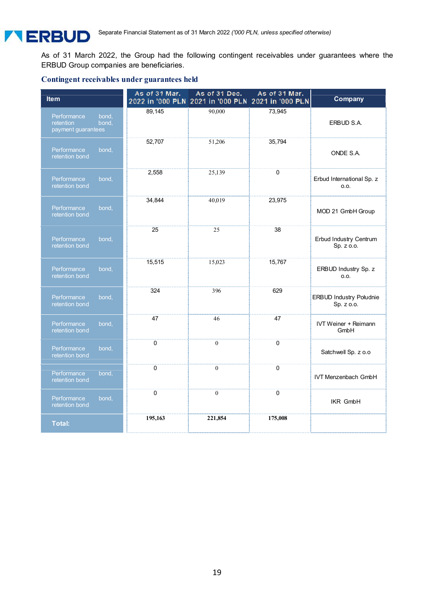As of 31 March 2022, the Group had the following contingent receivables under guarantees where the ERBUD Group companies are beneficiaries.

#### **Contingent receivables under guarantees held**

| <b>Item</b>                                                      | As of 31 Mar. | As of 31 Dec.<br>2022 in '000 PLN 2021 in '000 PLN 2021 in '000 PLN | As of 31 Mar. | Company                                      |
|------------------------------------------------------------------|---------------|---------------------------------------------------------------------|---------------|----------------------------------------------|
| Performance<br>bond.<br>retention<br>bond,<br>payment guarantees | 89,145        | 90.000                                                              | 73,945        | ERBUD S.A.                                   |
| Performance<br>bond,<br>retention bond                           | 52,707        | 51,206                                                              | 35,794        | ONDE S.A.                                    |
| Performance<br>bond,<br>retention bond                           | 2,558         | 25,139                                                              | 0             | Erbud International Sp. z<br>O.O.            |
| Performance<br>bond,<br>retention bond                           | 34,844        | 40,019                                                              | 23,975        | MOD 21 GmbH Group                            |
| Performance<br>bond,<br>retention bond                           | 25            | 25                                                                  | 38            | Erbud Industry Centrum<br>Sp. z o.o.         |
| Performance<br>bond,<br>retention bond                           | 15,515        | 15,023                                                              | 15,767        | ERBUD Industry Sp. z<br>0.0.                 |
| Performance<br>bond,<br>retention bond                           | 324           | 396                                                                 | 629           | <b>ERBUD Industry Południe</b><br>Sp. z o.o. |
| Performance<br>bond,<br>retention bond                           | 47            | 46                                                                  | 47            | <b>IVT Weiner + Reimann</b><br>GmbH          |
| Performance<br>bond,<br>retention bond                           | 0             | $\mathbf{0}$                                                        | $\Omega$      | Satchwell Sp. z o.o                          |
| Performance<br>bond,<br>retention bond                           | $\mathbf{0}$  | $\mathbf{0}$                                                        | $\Omega$      | <b>IVT Menzenbach GmbH</b>                   |
| Performance<br>bond,<br>retention bond                           | $\pmb{0}$     | $\mathbf{0}$                                                        | $\pmb{0}$     | <b>IKR GmbH</b>                              |
| <b>Total:</b>                                                    | 195,163       | 221,854                                                             | 175,008       |                                              |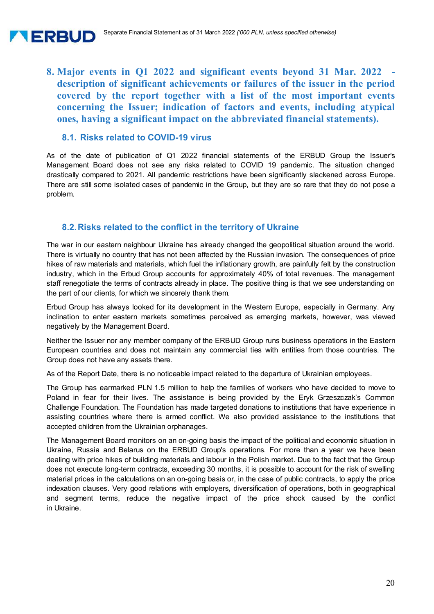

**8. Major events in Q1 2022 and significant events beyond 31 Mar. 2022 description of significant achievements or failures of the issuer in the period covered by the report together with a list of the most important events concerning the Issuer; indication of factors and events, including atypical ones, having a significant impact on the abbreviated financial statements).** 

# **8.1. Risks related to COVID-19 virus**

As of the date of publication of Q1 2022 financial statements of the ERBUD Group the Issuer's Management Board does not see any risks related to COVID 19 pandemic. The situation changed drastically compared to 2021. All pandemic restrictions have been significantly slackened across Europe. There are still some isolated cases of pandemic in the Group, but they are so rare that they do not pose a problem.

# **8.2. Risks related to the conflict in the territory of Ukraine**

The war in our eastern neighbour Ukraine has already changed the geopolitical situation around the world. There is virtually no country that has not been affected by the Russian invasion. The consequences of price hikes of raw materials and materials, which fuel the inflationary growth, are painfully felt by the construction industry, which in the Erbud Group accounts for approximately 40% of total revenues. The management staff renegotiate the terms of contracts already in place. The positive thing is that we see understanding on the part of our clients, for which we sincerely thank them.

Erbud Group has always looked for its development in the Western Europe, especially in Germany. Any inclination to enter eastern markets sometimes perceived as emerging markets, however, was viewed negatively by the Management Board.

Neither the Issuer nor any member company of the ERBUD Group runs business operations in the Eastern European countries and does not maintain any commercial ties with entities from those countries. The Group does not have any assets there.

As of the Report Date, there is no noticeable impact related to the departure of Ukrainian employees.

The Group has earmarked PLN 1.5 million to help the families of workers who have decided to move to Poland in fear for their lives. The assistance is being provided by the Eryk Grzeszczak's Common Challenge Foundation. The Foundation has made targeted donations to institutions that have experience in assisting countries where there is armed conflict. We also provided assistance to the institutions that accepted children from the Ukrainian orphanages.

The Management Board monitors on an on-going basis the impact of the political and economic situation in Ukraine, Russia and Belarus on the ERBUD Group's operations. For more than a year we have been dealing with price hikes of building materials and labour in the Polish market. Due to the fact that the Group does not execute long-term contracts, exceeding 30 months, it is possible to account for the risk of swelling material prices in the calculations on an on-going basis or, in the case of public contracts, to apply the price indexation clauses. Very good relations with employers, diversification of operations, both in geographical and segment terms, reduce the negative impact of the price shock caused by the conflict in Ukraine.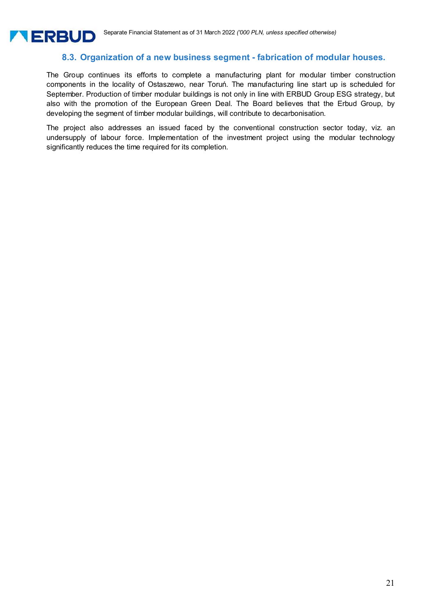

# **8.3. Organization of a new business segment - fabrication of modular houses.**

The Group continues its efforts to complete a manufacturing plant for modular timber construction components in the locality of Ostaszewo, near Toruń. The manufacturing line start up is scheduled for September. Production of timber modular buildings is not only in line with ERBUD Group ESG strategy, but also with the promotion of the European Green Deal. The Board believes that the Erbud Group, by developing the segment of timber modular buildings, will contribute to decarbonisation.

The project also addresses an issued faced by the conventional construction sector today, viz. an undersupply of labour force. Implementation of the investment project using the modular technology significantly reduces the time required for its completion.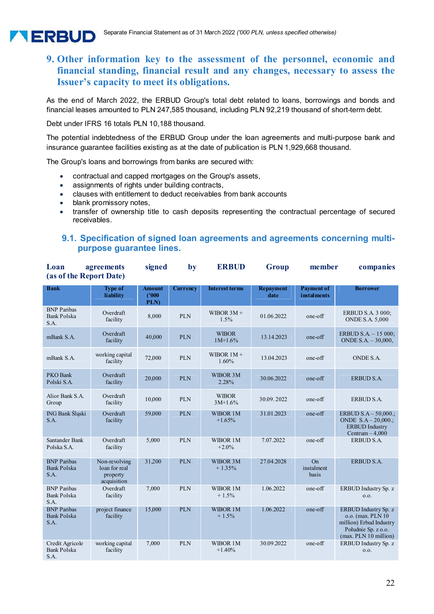

As the end of March 2022, the ERBUD Group's total debt related to loans, borrowings and bonds and financial leases amounted to PLN 247,585 thousand, including PLN 92,219 thousand of short-term debt.

Debt under IFRS 16 totals PLN 10,188 thousand.

The potential indebtedness of the ERBUD Group under the loan agreements and multi-purpose bank and insurance guarantee facilities existing as at the date of publication is PLN 1,929,668 thousand.

The Group's loans and borrowings from banks are secured with:

- contractual and capped mortgages on the Group's assets,
- assignments of rights under building contracts,
- clauses with entitlement to deduct receivables from bank accounts
- blank promissory notes,

**TERBUD** 

 transfer of ownership title to cash deposits representing the contractual percentage of secured receivables.

#### **9.1. Specification of signed loan agreements and agreements concerning multipurpose guarantee lines.**

| Loan<br>(as of the Report Date)                  | agreements                                                | signed                          | by              | <b>ERBUD</b>              | Group                    | member                                  | companies                                                                                                             |
|--------------------------------------------------|-----------------------------------------------------------|---------------------------------|-----------------|---------------------------|--------------------------|-----------------------------------------|-----------------------------------------------------------------------------------------------------------------------|
| <b>Bank</b>                                      | <b>Type of</b><br>liability                               | <b>Amount</b><br>(1000)<br>PLN) | <b>Currency</b> | <b>Interest terms</b>     | <b>Repayment</b><br>date | <b>Payment of</b><br><i>instalments</i> | <b>Borrower</b>                                                                                                       |
| <b>BNP</b> Paribas<br><b>Bank Polska</b><br>S.A. | Overdraft<br>facility                                     | 8,000                           | <b>PLN</b>      | WIBOR $3M +$<br>1.5%      | 01.06.2022               | one-off                                 | ERBUD S.A. 3 000;<br><b>ONDE S.A. 5,000</b>                                                                           |
| mBank S.A.                                       | Overdraft<br>facility                                     | 40,000                          | <b>PLN</b>      | <b>WIBOR</b><br>$1M+1.6%$ | 13.14.2023               | one-off                                 | ERBUD S.A. - 15 000;<br>ONDE $S.A. - 30,000$ ,                                                                        |
| mBank S.A.                                       | working capital<br>facility                               | 72,000                          | <b>PLN</b>      | WIBOR $1M +$<br>1.60%     | 13.04.2023               | $one-off$                               | ONDE S.A.                                                                                                             |
| PKO Bank<br>Polski S.A.                          | Overdraft<br>facility                                     | 20,000                          | <b>PLN</b>      | WIBOR 3M<br>2.28%         | 30.06.2022               | $one-off$                               | ERBUD S.A.                                                                                                            |
| Alior Bank S.A.<br>Group                         | Overdraft<br>facility                                     | 10,000                          | <b>PLN</b>      | <b>WIBOR</b><br>$3M+1.6%$ | 30.09.2022               | $one-off$                               | ERBUD S.A.                                                                                                            |
| ING Bank Sląski<br>S.A.                          | Overdraft<br>facility                                     | 59,000                          | <b>PLN</b>      | WIBOR 1M<br>$+1.65%$      | 31.01.2023               | one-off                                 | ERBUD $S.A - 50,000$ .;<br>ONDE $S.A - 20,000$ .;<br><b>ERBUD Industry</b><br>Centrum $-4,000$                        |
| Santander Bank<br>Polska S.A.                    | Overdraft<br>facility                                     | 5,000                           | <b>PLN</b>      | WIBOR 1M<br>$+2.0%$       | 7.07.2022                | $one-off$                               | ERBUD S.A.                                                                                                            |
| <b>BNP</b> Paribas<br><b>Bank Polska</b><br>S.A. | Non-revolving<br>loan for real<br>property<br>acquisition | 31,200                          | <b>PLN</b>      | WIBOR 3M<br>$+1.35%$      | 27.04.2028               | On<br>instalment<br>basis               | ERBUD S.A.                                                                                                            |
| <b>BNP</b> Paribas<br><b>Bank Polska</b><br>S.A. | Overdraft<br>facility                                     | 7.000                           | <b>PLN</b>      | WIBOR 1M<br>$+1.5%$       | 1.06.2022                | one-off                                 | ERBUD Industry Sp. z<br>0.0.                                                                                          |
| <b>BNP</b> Paribas<br><b>Bank Polska</b><br>S.A. | project finance<br>facility                               | 15,000                          | <b>PLN</b>      | WIBOR 1M<br>$+1.5%$       | 1.06.2022                | $one-off$                               | ERBUD Industry Sp. z<br>o.o. (max. PLN 10)<br>million) Erbud Industry<br>Południe Sp. z o.o.<br>(max. PLN 10 million) |
| Credit Agricole<br><b>Bank Polska</b><br>S.A.    | working capital<br>facility                               | 7,000                           | <b>PLN</b>      | WIBOR 1M<br>$+1.40%$      | 30.09.2022               | one-off                                 | ERBUD Industry Sp. z<br>0.0.                                                                                          |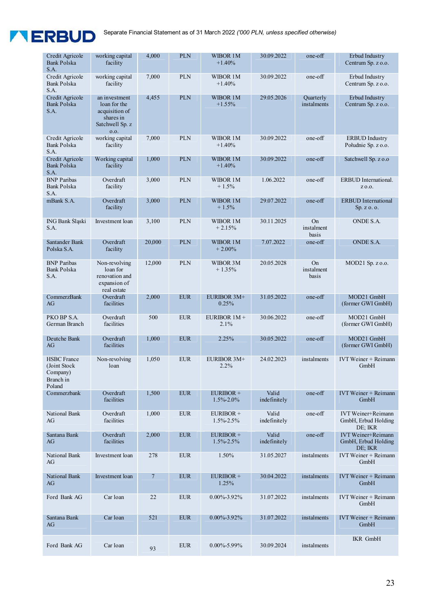

| Credit Agricole<br><b>Bank Polska</b><br>S.A.                         | working capital<br>facility                                                             | 4,000          | <b>PLN</b> | WIBOR 1M<br>$+1.40%$         | 30.09.2022            | one-off                          | Erbud Industry<br>Centrum Sp. z o.o.                        |
|-----------------------------------------------------------------------|-----------------------------------------------------------------------------------------|----------------|------------|------------------------------|-----------------------|----------------------------------|-------------------------------------------------------------|
| Credit Agricole<br><b>Bank Polska</b><br>S.A.                         | working capital<br>facility                                                             | 7,000          | <b>PLN</b> | WIBOR 1M<br>$+1.40%$         | 30.09.2022            | one-off                          | Erbud Industry<br>Centrum Sp. z o.o.                        |
| Credit Agricole<br><b>Bank Polska</b><br>S.A.                         | an investment<br>loan for the<br>acquisition of<br>shares in<br>Satchwell Sp. z<br>0.0. | 4,455          | <b>PLN</b> | WIBOR 1M<br>$+1.55%$         | 29.05.2026            | <b>Ouarterly</b><br>instalments  | Erbud Industry<br>Centrum Sp. z o.o.                        |
| Credit Agricole<br><b>Bank Polska</b><br>S.A.                         | working capital<br>facility                                                             | 7,000          | <b>PLN</b> | WIBOR 1M<br>$+1.40%$         | 30.09.2022            | one-off                          | <b>ERBUD</b> Industry<br>Południe Sp. z o.o.                |
| Credit Agricole<br><b>Bank Polska</b><br>S.A.                         | Working capital<br>facility                                                             | 1,000          | <b>PLN</b> | WIBOR 1M<br>$+1.40%$         | 30.09.2022            | one-off                          | Satchwell Sp. z o.o                                         |
| <b>BNP</b> Paribas<br><b>Bank Polska</b><br>S.A.                      | Overdraft<br>facility                                                                   | 3,000          | <b>PLN</b> | WIBOR 1M<br>$+1.5%$          | 1.06.2022             | one-off                          | ERBUD International.<br>Z 0.0.                              |
| mBank S.A.                                                            | Overdraft<br>facility                                                                   | 3,000          | <b>PLN</b> | WIBOR 1M<br>$+1.5%$          | 29.07.2022            | $one-off$                        | <b>ERBUD</b> International<br>Sp. z. o. o.                  |
| ING Bank Sląski<br>S.A.                                               | Investment loan                                                                         | 3,100          | <b>PLN</b> | WIBOR 1M<br>$+2.15%$         | 30.11.2025            | <b>On</b><br>instalment<br>basis | ONDE S.A.                                                   |
| Santander Bank<br>Polska S.A.                                         | Overdraft<br>facility                                                                   | 20,000         | <b>PLN</b> | WIBOR 1M<br>$+2.00\%$        | 7.07.2022             | one-off                          | ONDE S.A.                                                   |
| <b>BNP</b> Paribas<br><b>Bank Polska</b><br>S.A.                      | Non-revolving<br>loan for<br>renovation and<br>expansion of<br>real estate              | 12,000         | <b>PLN</b> | WIBOR 3M<br>$+1.35%$         | 20.05.2028            | <b>On</b><br>instalment<br>basis | MOD21 Sp. z o.o.                                            |
| CommerzBank<br>AG                                                     | Overdraft<br>facilities                                                                 | 2,000          | <b>EUR</b> | <b>EURIBOR 3M+</b><br>0.25%  | 31.05.2022            | one-off                          | MOD21 GmbH<br>(former GWI GmbH)                             |
| PKO BP S.A.<br>German Branch                                          | Overdraft<br>facilities                                                                 | 500            | <b>EUR</b> | EURIBOR 1M +<br>2.1%         | 30.06.2022            | one-off                          | MOD21 GmbH<br>(former GWI GmbH)                             |
| Deutche Bank<br>AG                                                    | Overdraft<br>facilities                                                                 | 1,000          | <b>EUR</b> | 2.25%                        | 30.05.2022            | one-off                          | MOD21 GmbH<br>(former GWI GmbH)                             |
| <b>HSBC</b> France<br>(Joint Stock<br>Company)<br>Branch in<br>Poland | Non-revolving<br>loan                                                                   | 1,050          | <b>EUR</b> | EURIBOR 3M+<br>2.2%          | 24.02.2023            | instalments                      | IVT Weiner + Reimann<br>GmbH                                |
| Commerzbank                                                           | Overdraft<br>facilities                                                                 | 1,500          | <b>EUR</b> | EURIBOR +<br>1.5%-2.0%       | Valid<br>indefinitely | one-off                          | <b>IVT Weiner + Reimann</b><br>GmbH                         |
| National Bank<br>AG                                                   | Overdraft<br>facilities                                                                 | 1,000          | <b>EUR</b> | EURIBOR+<br>$1.5\% - 2.5\%$  | Valid<br>indefinitely | one-off                          | <b>IVT</b> Weiner+Reimann<br>GmbH, Erbud Holding<br>DE; IKR |
| Santana Bank<br>AG                                                    | Overdraft<br>facilities                                                                 | 2,000          | <b>EUR</b> | EURIBOR +<br>$1.5\% - 2.5\%$ | Valid<br>indefinitely | one-off                          | <b>IVT</b> Weiner+Reimann<br>GmbH, Erbud Holding<br>DE; IKR |
| National Bank<br>AG                                                   | Investment loan                                                                         | 278            | <b>EUR</b> | 1.50%                        | 31.05.2027            | instalments                      | IVT Weiner + Reimann<br>GmbH                                |
| National Bank<br>AG                                                   | Investment loan                                                                         | $\overline{7}$ | <b>EUR</b> | EURIBOR +<br>1.25%           | 30.04.2022            | instalments                      | IVT Weiner + Reimann<br>GmbH                                |
| Ford Bank AG                                                          | Car loan                                                                                | 22             | <b>EUR</b> | $0.00\% - 3.92\%$            | 31.07.2022            | instalments                      | IVT Weiner + Reimann<br>GmbH                                |
| Santana Bank<br>AG                                                    | Car loan                                                                                | 521            | <b>EUR</b> | $0.00\% - 3.92\%$            | 31.07.2022            | instalments                      | IVT Weiner + Reimann<br>GmbH                                |
| Ford Bank AG                                                          | Car loan                                                                                | 93             | <b>EUR</b> | $0.00\% - 5.99\%$            | 30.09.2024            | instalments                      | <b>IKR</b> GmbH                                             |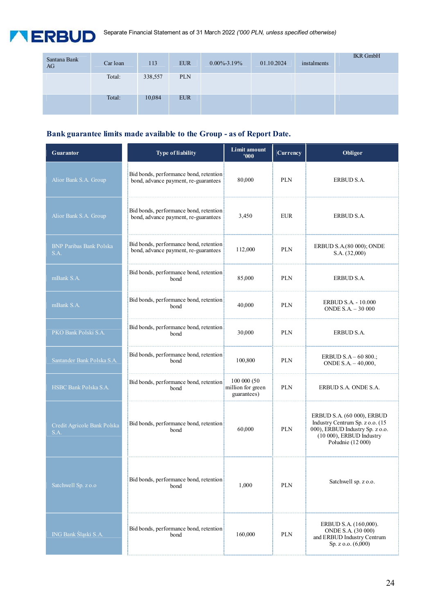

| Santana Bank<br>AG | Car loan | 113     | <b>EUR</b> | $0.00\% - 3.19\%$ | 01.10.2024 | instalments | <b>IKR</b> GmbH |
|--------------------|----------|---------|------------|-------------------|------------|-------------|-----------------|
|                    | Total:   | 338,557 | <b>PLN</b> |                   |            |             |                 |
|                    | Total:   | 10,084  | <b>EUR</b> |                   |            |             |                 |

# **Bank guarantee limits made available to the Group - as of Report Date.**

| <b>Guarantor</b>                       | <b>Type of liability</b>                                                       | <b>Limit amount</b><br>000'                     | Currency   | Obligor                                                                                                                                           |
|----------------------------------------|--------------------------------------------------------------------------------|-------------------------------------------------|------------|---------------------------------------------------------------------------------------------------------------------------------------------------|
| Alior Bank S.A. Group                  | Bid bonds, performance bond, retention<br>bond, advance payment, re-guarantees | 80,000                                          | <b>PLN</b> | ERBUD S.A.                                                                                                                                        |
| Alior Bank S.A. Group                  | Bid bonds, performance bond, retention<br>bond, advance payment, re-guarantees | 3,450                                           | <b>EUR</b> | ERBUD S.A.                                                                                                                                        |
| <b>BNP Paribas Bank Polska</b><br>S.A. | Bid bonds, performance bond, retention<br>bond, advance payment, re-guarantees | 112,000                                         | <b>PLN</b> | ERBUD S.A.(80 000); ONDE<br>S.A. (32,000)                                                                                                         |
| mBank S.A.                             | Bid bonds, performance bond, retention<br>bond                                 | 85,000                                          | <b>PLN</b> | ERBUD S.A.                                                                                                                                        |
| mBank S.A.                             | Bid bonds, performance bond, retention<br>bond                                 | 40,000                                          | <b>PLN</b> | ERBUD S.A. - 10.000<br>ONDE $S.A. - 30000$                                                                                                        |
| PKO Bank Polski S.A.                   | Bid bonds, performance bond, retention<br>bond                                 | 30,000                                          | <b>PLN</b> | ERBUD S.A.                                                                                                                                        |
| Santander Bank Polska S.A.             | Bid bonds, performance bond, retention<br>bond                                 | 100,800                                         | <b>PLN</b> | ERBUD $S.A - 60800$ .;<br>ONDE $S.A. - 40,000$ ,                                                                                                  |
| HSBC Bank Polska S.A.                  | Bid bonds, performance bond, retention<br>bond                                 | 100 000 (50<br>million for green<br>guarantees) | <b>PLN</b> | ERBUD S.A. ONDE S.A.                                                                                                                              |
| Credit Agricole Bank Polska<br>S.A.    | Bid bonds, performance bond, retention<br>bond                                 | 60,000                                          | <b>PLN</b> | ERBUD S.A. (60 000), ERBUD<br>Industry Centrum Sp. z o.o. (15<br>000), ERBUD Industry Sp. z o.o.<br>(10 000), ERBUD Industry<br>Południe (12 000) |
| Satchwell Sp. z o.o                    | Bid bonds, performance bond, retention<br>bond                                 | 1,000                                           | <b>PLN</b> | Satchwell sp. z o.o.                                                                                                                              |
| ING Bank Śląski S.A.                   | Bid bonds, performance bond, retention<br>bond                                 | 160,000                                         | <b>PLN</b> | ERBUD S.A. (160,000).<br>ONDE S.A. (30 000)<br>and ERBUD Industry Centrum<br>Sp. z $0.0$ . $(6.000)$                                              |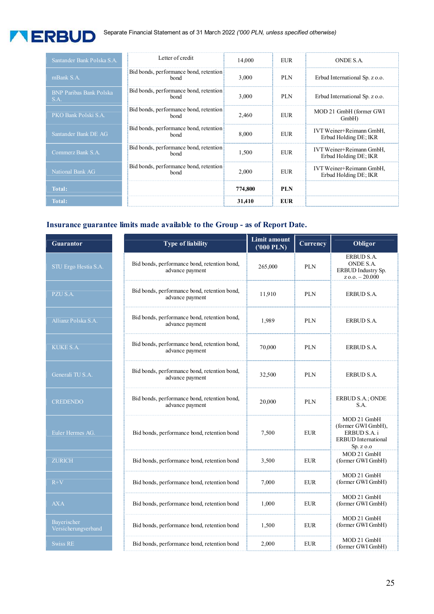

| Santander Bank Polska S.A.             | Letter of credit                                      | 14,000  | EUR        | ONDE S.A.                                         |
|----------------------------------------|-------------------------------------------------------|---------|------------|---------------------------------------------------|
| mBank S.A.                             | Bid bonds, performance bond, retention<br><b>bond</b> | 3.000   | <b>PLN</b> | Erbud International Sp. z o.o.                    |
| <b>BNP Paribas Bank Polska</b><br>S.A. | Bid bonds, performance bond, retention<br><b>bond</b> | 3,000   | <b>PLN</b> | Erbud International Sp. z o.o.                    |
| PKO Bank Polski S.A.                   | Bid bonds, performance bond, retention<br><b>bond</b> | 2,460   | EUR        | MOD 21 GmbH (former GWI)<br>$GmbH$ )              |
| Santander Bank DE AG                   | Bid bonds, performance bond, retention<br>bond        | 8,000   | <b>EUR</b> | IVT Weiner+Reimann GmbH,<br>Erbud Holding DE; IKR |
| Commerz Bank S.A.                      | Bid bonds, performance bond, retention<br><b>bond</b> | 1.500   | <b>EUR</b> | IVT Weiner+Reimann GmbH,<br>Erbud Holding DE; IKR |
| National Bank AG                       | Bid bonds, performance bond, retention<br>bond        | 2.000   | <b>EUR</b> | IVT Weiner+Reimann GmbH,<br>Erbud Holding DE; IKR |
| <b>Total:</b>                          |                                                       | 774,800 | <b>PLN</b> |                                                   |
| Total:                                 |                                                       | 31,410  | <b>EUR</b> |                                                   |

# **Insurance guarantee limits made available to the Group - as of Report Date.**

| <b>Guarantor</b>                   | <b>Type of liability</b>                                        | Limit amount<br>$(000$ PLN $)$ | Currency   | Obligor                                                                                      |
|------------------------------------|-----------------------------------------------------------------|--------------------------------|------------|----------------------------------------------------------------------------------------------|
| STU Ergo Hestia S.A.               | Bid bonds, performance bond, retention bond,<br>advance payment | 265,000                        | <b>PLN</b> | ERBUD S.A.<br>ONDE S.A.<br>ERBUD Industry Sp.<br>$z$ o.o. $-20.000$                          |
| PZU S.A.                           | Bid bonds, performance bond, retention bond,<br>advance payment | 11.910                         | <b>PLN</b> | ERBUD S.A.                                                                                   |
| Allianz Polska S.A.                | Bid bonds, performance bond, retention bond,<br>advance payment | 1,989                          | <b>PLN</b> | ERBUD S.A.                                                                                   |
| <b>KUKE S.A.</b>                   | Bid bonds, performance bond, retention bond,<br>advance payment | 70,000                         | <b>PLN</b> | ERBUD S.A.                                                                                   |
| Generali TU S.A.                   | Bid bonds, performance bond, retention bond,<br>advance payment | 32,500                         | <b>PLN</b> | ERBUD S.A.                                                                                   |
| <b>CREDENDO</b>                    | Bid bonds, performance bond, retention bond,<br>advance payment | 20,000                         | <b>PLN</b> | ERBUD S.A.; ONDE<br>S.A.                                                                     |
| Euler Hermes AG.                   | Bid bonds, performance bond, retention bond                     | 7,500                          | <b>EUR</b> | MOD 21 GmbH<br>(former GWI GmbH),<br>ERBUD S.A. i<br><b>ERBUD</b> International<br>Sp. z o.o |
| <b>ZURICH</b>                      | Bid bonds, performance bond, retention bond                     | 3,500                          | <b>EUR</b> | MOD 21 GmbH<br>(former GWI GmbH)                                                             |
| $R+V$                              | Bid bonds, performance bond, retention bond                     | 7,000                          | <b>EUR</b> | MOD 21 GmbH<br>(former GWI GmbH)                                                             |
| <b>AXA</b>                         | Bid bonds, performance bond, retention bond                     | 1,000                          | <b>EUR</b> | MOD 21 GmbH<br>(former GWI GmbH)                                                             |
| Bayerischer<br>Versicherungverband | Bid bonds, performance bond, retention bond                     | 1,500                          | <b>EUR</b> | MOD 21 GmbH<br>(former GWI GmbH)                                                             |
| <b>Swiss RE</b>                    | Bid bonds, performance bond, retention bond                     | 2,000                          | <b>EUR</b> | MOD 21 GmbH<br>(former GWI GmbH)                                                             |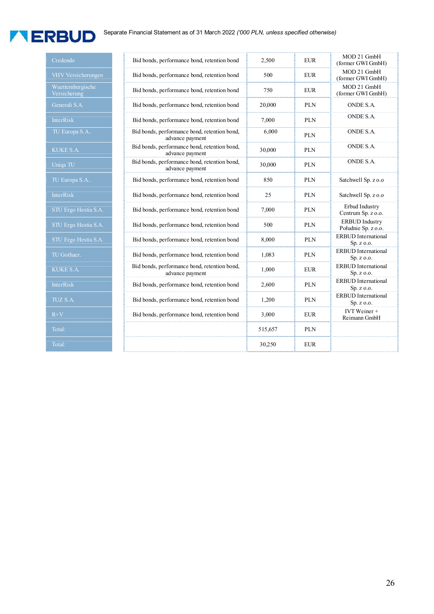# **TERBUD**

| Credendo                         | Bid bonds, performance bond, retention bond                     | 2,500   | <b>EUR</b> | MOD 21 GmbH<br>(former GWI GmbH)             |
|----------------------------------|-----------------------------------------------------------------|---------|------------|----------------------------------------------|
| VHV Versicherungen               | Bid bonds, performance bond, retention bond                     | 500     | <b>EUR</b> | MOD 21 GmbH<br>(former GWI GmbH)             |
| Wuettembergische<br>Versicherung | Bid bonds, performance bond, retention bond                     | 750     | <b>EUR</b> | MOD 21 GmbH<br>(former GWI GmbH)             |
| Generali S.A.                    | Bid bonds, performance bond, retention bond                     | 20,000  | <b>PLN</b> | ONDE S.A.                                    |
| <b>InterRisk</b>                 | Bid bonds, performance bond, retention bond                     | 7.000   | <b>PLN</b> | ONDE S.A.                                    |
| TU Europa S.A                    | Bid bonds, performance bond, retention bond,<br>advance payment | 6,000   | <b>PLN</b> | ONDE S.A.                                    |
| <b>KUKE S.A.</b>                 | Bid bonds, performance bond, retention bond,<br>advance payment | 30,000  | <b>PLN</b> | ONDE S.A.                                    |
| Uniqa TU                         | Bid bonds, performance bond, retention bond,<br>advance payment | 30,000  | <b>PLN</b> | ONDE S.A.                                    |
| TU Europa S.A                    | Bid bonds, performance bond, retention bond                     | 850     | <b>PLN</b> | Satchwell Sp. z o.o                          |
| <b>InterRisk</b>                 | Bid bonds, performance bond, retention bond                     | 25      | <b>PLN</b> | Satchwell Sp. z o.o                          |
| STU Ergo Hestia S.A.             | Bid bonds, performance bond, retention bond                     | 7,000   | <b>PLN</b> | Erbud Industry<br>Centrum Sp. z o.o.         |
| STU Ergo Hestia S.A.             | Bid bonds, performance bond, retention bond                     | 500     | <b>PLN</b> | <b>ERBUD</b> Industry<br>Południe Sp. z o.o. |
| STU Ergo Hestia S.A.             | Bid bonds, performance bond, retention bond                     | 8,000   | <b>PLN</b> | <b>ERBUD</b> International<br>Sp. z o.o.     |
| TU Gothaer.                      | Bid bonds, performance bond, retention bond                     | 1,083   | <b>PLN</b> | <b>ERBUD</b> International<br>Sp. z o.o.     |
| <b>KUKE S.A.</b>                 | Bid bonds, performance bond, retention bond,<br>advance payment | 1,000   | <b>EUR</b> | <b>ERBUD</b> International<br>Sp. z o.o.     |
| InterRisk                        | Bid bonds, performance bond, retention bond                     | 2,600   | <b>PLN</b> | <b>ERBUD</b> International<br>Sp. z o.o.     |
| TUZ S.A.                         | Bid bonds, performance bond, retention bond                     | 1,200   | <b>PLN</b> | <b>ERBUD</b> International<br>Sp. z o.o.     |
| $R+V$                            | Bid bonds, performance bond, retention bond                     | 3,000   | <b>EUR</b> | IVT Weiner +<br>Reimann GmbH                 |
| Total:                           |                                                                 | 515,657 | <b>PLN</b> |                                              |
| Total:                           |                                                                 | 30,250  | <b>EUR</b> |                                              |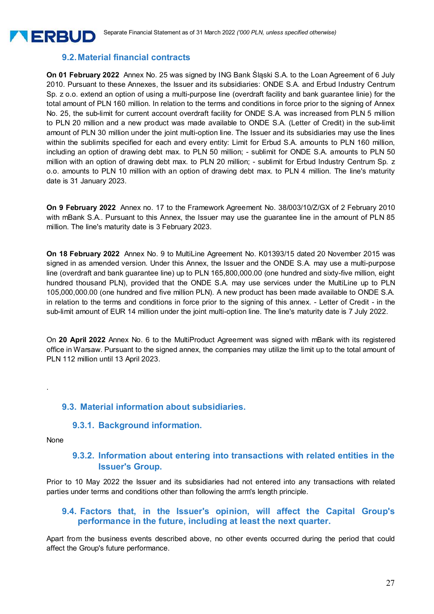# **9.2. Material financial contracts**

**On 01 February 2022** Annex No. 25 was signed by ING Bank Śląski S.A. to the Loan Agreement of 6 July 2010. Pursuant to these Annexes, the Issuer and its subsidiaries: ONDE S.A. and Erbud Industry Centrum Sp. z o.o. extend an option of using a multi-purpose line (overdraft facility and bank guarantee linie) for the total amount of PLN 160 million. In relation to the terms and conditions in force prior to the signing of Annex No. 25, the sub-limit for current account overdraft facility for ONDE S.A. was increased from PLN 5 million to PLN 20 million and a new product was made available to ONDE S.A. (Letter of Credit) in the sub-limit amount of PLN 30 million under the joint multi-option line. The Issuer and its subsidiaries may use the lines within the sublimits specified for each and every entity: Limit for Erbud S.A. amounts to PLN 160 million, including an option of drawing debt max. to PLN 50 million; - sublimit for ONDE S.A. amounts to PLN 50 million with an option of drawing debt max. to PLN 20 million; - sublimit for Erbud Industry Centrum Sp. z o.o. amounts to PLN 10 million with an option of drawing debt max. to PLN 4 million. The line's maturity date is 31 January 2023.

**On 9 February 2022** Annex no. 17 to the Framework Agreement No. 38/003/10/Z/GX of 2 February 2010 with mBank S.A.. Pursuant to this Annex, the Issuer may use the guarantee line in the amount of PLN 85 million. The line's maturity date is 3 February 2023.

**On 18 February 2022** Annex No. 9 to MultiLine Agreement No. K01393/15 dated 20 November 2015 was signed in as amended version. Under this Annex, the Issuer and the ONDE S.A. may use a multi-purpose line (overdraft and bank guarantee line) up to PLN 165,800,000.00 (one hundred and sixty-five million, eight hundred thousand PLN), provided that the ONDE S.A. may use services under the MultiLine up to PLN 105,000,000.00 (one hundred and five million PLN). A new product has been made available to ONDE S.A. in relation to the terms and conditions in force prior to the signing of this annex. - Letter of Credit - in the sub-limit amount of EUR 14 million under the joint multi-option line. The line's maturity date is 7 July 2022.

On **20 April 2022** Annex No. 6 to the MultiProduct Agreement was signed with mBank with its registered office in Warsaw. Pursuant to the signed annex, the companies may utilize the limit up to the total amount of PLN 112 million until 13 April 2023.

#### **9.3. Material information about subsidiaries.**

#### **9.3.1. Background information.**

None

.

**TERRUD** 

#### **9.3.2. Information about entering into transactions with related entities in the Issuer's Group.**

Prior to 10 May 2022 the Issuer and its subsidiaries had not entered into any transactions with related parties under terms and conditions other than following the arm's length principle.

#### **9.4. Factors that, in the Issuer's opinion, will affect the Capital Group's performance in the future, including at least the next quarter.**

Apart from the business events described above, no other events occurred during the period that could affect the Group's future performance.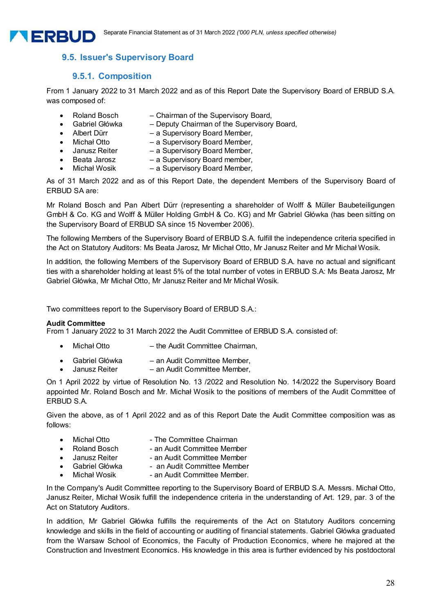

#### **9.5.1. Composition**

**TERBUD** 

From 1 January 2022 to 31 March 2022 and as of this Report Date the Supervisory Board of ERBUD S.A. was composed of:

- Roland Bosch Chairman of the Supervisory Board,
	- Gabriel Główka Deputy Chairman of the Supervisory Board,
- Albert Dürr a Supervisory Board Member,
- Michał Otto a Supervisory Board Member,<br>Janusz Reiter a Supervisory Board Member.
- a Supervisory Board Member,
- 
- Beata Jarosz a Supervisory Board member,<br>Michał Wosik a Supervisory Board Member. • Michał Wosik – a Supervisory Board Member,

As of 31 March 2022 and as of this Report Date, the dependent Members of the Supervisory Board of ERBUD SA are:

Mr Roland Bosch and Pan Albert Dürr (representing a shareholder of Wolff & Müller Baubeteiligungen GmbH & Co. KG and Wolff & Müller Holding GmbH & Co. KG) and Mr Gabriel Główka (has been sitting on the Supervisory Board of ERBUD SA since 15 November 2006).

The following Members of the Supervisory Board of ERBUD S.A. fulfill the independence criteria specified in the Act on Statutory Auditors: Ms Beata Jarosz, Mr Michał Otto, Mr Janusz Reiter and Mr Michał Wosik.

In addition, the following Members of the Supervisory Board of ERBUD S.A. have no actual and significant ties with a shareholder holding at least 5% of the total number of votes in ERBUD S.A: Ms Beata Jarosz, Mr Gabriel Główka, Mr Michał Otto, Mr Janusz Reiter and Mr Michał Wosik.

Two committees report to the Supervisory Board of ERBUD S.A.:

#### **Audit Committee**

From 1 January 2022 to 31 March 2022 the Audit Committee of ERBUD S.A. consisted of:

- Michał Otto the Audit Committee Chairman,
- Gabriel Główka an Audit Committee Member,
- Janusz Reiter an Audit Committee Member,

On 1 April 2022 by virtue of Resolution No. 13 /2022 and Resolution No. 14/2022 the Supervisory Board appointed Mr. Roland Bosch and Mr. Michał Wosik to the positions of members of the Audit Committee of ERBUD S.A.

Given the above, as of 1 April 2022 and as of this Report Date the Audit Committee composition was as follows:

- Michał Otto  **The Committee Chairman**
- Roland Bosch an Audit Committee Member
- Janusz Reiter an Audit Committee Member
- Gabriel Główka an Audit Committee Member
- Michał Wosik an Audit Committee Member.

In the Company's Audit Committee reporting to the Supervisory Board of ERBUD S.A. Messrs. Michał Otto, Janusz Reiter, Michał Wosik fulfill the independence criteria in the understanding of Art. 129, par. 3 of the Act on Statutory Auditors.

In addition, Mr Gabriel Główka fulfills the requirements of the Act on Statutory Auditors concerning knowledge and skills in the field of accounting or auditing of financial statements. Gabriel Główka graduated from the Warsaw School of Economics, the Faculty of Production Economics, where he majored at the Construction and Investment Economics. His knowledge in this area is further evidenced by his postdoctoral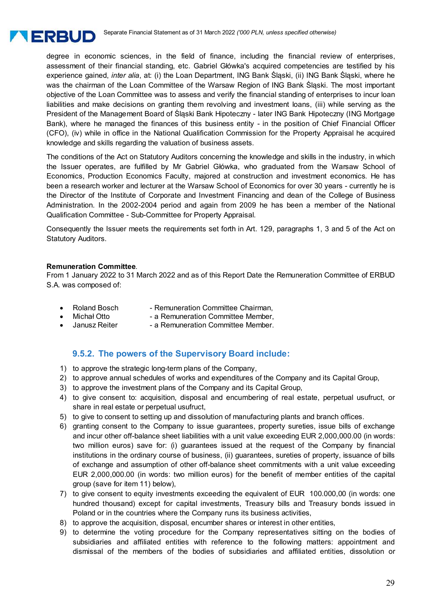

degree in economic sciences, in the field of finance, including the financial review of enterprises, assessment of their financial standing, etc. Gabriel Główka's acquired competencies are testified by his experience gained, *inter alia*, at: (i) the Loan Department, ING Bank Śląski, (ii) ING Bank Śląski, where he was the chairman of the Loan Committee of the Warsaw Region of ING Bank Śląski. The most important objective of the Loan Committee was to assess and verify the financial standing of enterprises to incur loan liabilities and make decisions on granting them revolving and investment loans, (iii) while serving as the President of the Management Board of Śląski Bank Hipoteczny - later ING Bank Hipoteczny (ING Mortgage Bank), where he managed the finances of this business entity - in the position of Chief Financial Officer (CFO), (iv) while in office in the National Qualification Commission for the Property Appraisal he acquired knowledge and skills regarding the valuation of business assets.

The conditions of the Act on Statutory Auditors concerning the knowledge and skills in the industry, in which the Issuer operates, are fulfilled by Mr Gabriel Główka, who graduated from the Warsaw School of Economics, Production Economics Faculty, majored at construction and investment economics. He has been a research worker and lecturer at the Warsaw School of Economics for over 30 years - currently he is the Director of the Institute of Corporate and Investment Financing and dean of the College of Business Administration. In the 2002-2004 period and again from 2009 he has been a member of the National Qualification Committee - Sub-Committee for Property Appraisal.

Consequently the Issuer meets the requirements set forth in Art. 129, paragraphs 1, 3 and 5 of the Act on Statutory Auditors.

#### **Remuneration Committee**.

From 1 January 2022 to 31 March 2022 and as of this Report Date the Remuneration Committee of ERBUD S.A. was composed of:

- Roland Bosch Remuneration Committee Chairman,
	-
- Michał Otto  **a Remuneration Committee Member,**<br>Janusz Reiter a Remuneration Committee Member. - a Remuneration Committee Member.

#### **9.5.2. The powers of the Supervisory Board include:**

- 1) to approve the strategic long-term plans of the Company,
- 2) to approve annual schedules of works and expenditures of the Company and its Capital Group,
- 3) to approve the investment plans of the Company and its Capital Group,
- 4) to give consent to: acquisition, disposal and encumbering of real estate, perpetual usufruct, or share in real estate or perpetual usufruct,
- 5) to give to consent to setting up and dissolution of manufacturing plants and branch offices.
- 6) granting consent to the Company to issue guarantees, property sureties, issue bills of exchange and incur other off-balance sheet liabilities with a unit value exceeding EUR 2,000,000.00 (in words: two million euros) save for: (i) guarantees issued at the request of the Company by financial institutions in the ordinary course of business, (ii) guarantees, sureties of property, issuance of bills of exchange and assumption of other off-balance sheet commitments with a unit value exceeding EUR 2,000,000.00 (in words: two million euros) for the benefit of member entities of the capital group (save for item 11) below),
- 7) to give consent to equity investments exceeding the equivalent of EUR 100.000,00 (in words: one hundred thousand) except for capital investments, Treasury bills and Treasury bonds issued in Poland or in the countries where the Company runs its business activities,
- 8) to approve the acquisition, disposal, encumber shares or interest in other entities,
- 9) to determine the voting procedure for the Company representatives sitting on the bodies of subsidiaries and affiliated entities with reference to the following matters: appointment and dismissal of the members of the bodies of subsidiaries and affiliated entities, dissolution or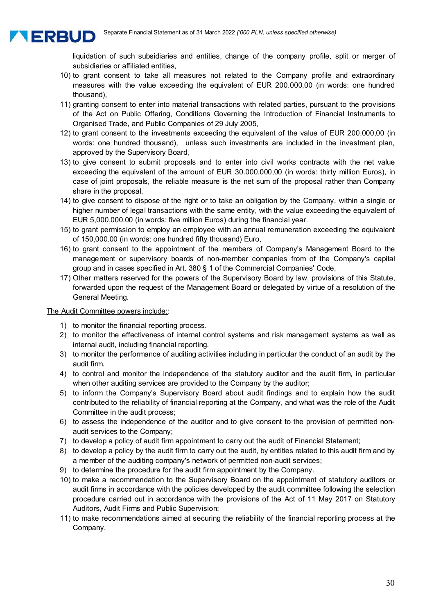

liquidation of such subsidiaries and entities, change of the company profile, split or merger of subsidiaries or affiliated entities,

- 10) to grant consent to take all measures not related to the Company profile and extraordinary measures with the value exceeding the equivalent of EUR 200.000,00 (in words: one hundred thousand),
- 11) granting consent to enter into material transactions with related parties, pursuant to the provisions of the Act on Public Offering, Conditions Governing the Introduction of Financial Instruments to Organised Trade, and Public Companies of 29 July 2005,
- 12) to grant consent to the investments exceeding the equivalent of the value of EUR 200.000,00 (in words: one hundred thousand), unless such investments are included in the investment plan, approved by the Supervisory Board,
- 13) to give consent to submit proposals and to enter into civil works contracts with the net value exceeding the equivalent of the amount of EUR 30.000.000,00 (in words: thirty million Euros), in case of joint proposals, the reliable measure is the net sum of the proposal rather than Company share in the proposal,
- 14) to give consent to dispose of the right or to take an obligation by the Company, within a single or higher number of legal transactions with the same entity, with the value exceeding the equivalent of EUR 5,000,000.00 (in words: five million Euros) during the financial year.
- 15) to grant permission to employ an employee with an annual remuneration exceeding the equivalent of 150,000.00 (in words: one hundred fifty thousand) Euro,
- 16) to grant consent to the appointment of the members of Company's Management Board to the management or supervisory boards of non-member companies from of the Company's capital group and in cases specified in Art. 380 § 1 of the Commercial Companies' Code,
- 17) Other matters reserved for the powers of the Supervisory Board by law, provisions of this Statute, forwarded upon the request of the Management Board or delegated by virtue of a resolution of the General Meeting.

#### The Audit Committee powers include::

- 1) to monitor the financial reporting process.
- 2) to monitor the effectiveness of internal control systems and risk management systems as well as internal audit, including financial reporting.
- 3) to monitor the performance of auditing activities including in particular the conduct of an audit by the audit firm.
- 4) to control and monitor the independence of the statutory auditor and the audit firm, in particular when other auditing services are provided to the Company by the auditor;
- 5) to inform the Company's Supervisory Board about audit findings and to explain how the audit contributed to the reliability of financial reporting at the Company, and what was the role of the Audit Committee in the audit process;
- 6) to assess the independence of the auditor and to give consent to the provision of permitted nonaudit services to the Company;
- 7) to develop a policy of audit firm appointment to carry out the audit of Financial Statement;
- 8) to develop a policy by the audit firm to carry out the audit, by entities related to this audit firm and by a member of the auditing company's network of permitted non-audit services;
- 9) to determine the procedure for the audit firm appointment by the Company.
- 10) to make a recommendation to the Supervisory Board on the appointment of statutory auditors or audit firms in accordance with the policies developed by the audit committee following the selection procedure carried out in accordance with the provisions of the Act of 11 May 2017 on Statutory Auditors, Audit Firms and Public Supervision;
- 11) to make recommendations aimed at securing the reliability of the financial reporting process at the Company.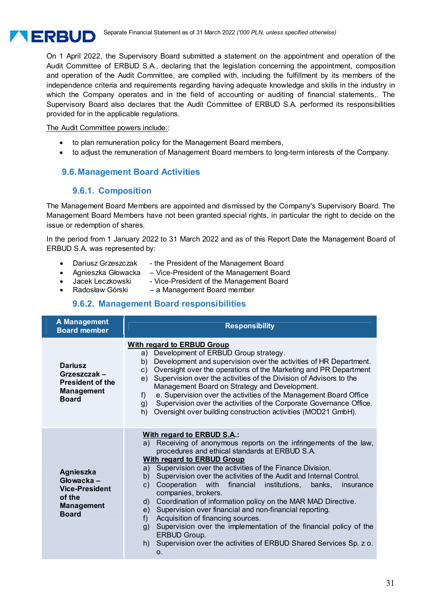

On 1 April 2022, the Supervisory Board submitted a statement on the appointment and operation of the Audit Committee of ERBUD S.A., declaring that the legislation concerning the appointment, composition and operation of the Audit Committee, are complied with, including the fulfillment by its members of the independence criteria and requirements regarding having adequate knowledge and skills in the industry in which the Company operates and in the field of accounting or auditing of financial statements,. The Supervisory Board also declares that the Audit Committee of ERBUD S.A. performed its responsibilities provided for in the applicable regulations.

The Audit Committee powers include::

- to plan remuneration policy for the Management Board members,
- to adjust the remuneration of Management Board members to long-term interests of the Company.

# **9.6. Management Board Activities**

#### **9.6.1. Composition**

The Management Board Members are appointed and dismissed by the Company's Supervisory Board. The Management Board Members have not been granted special rights, in particular the right to decide on the issue or redemption of shares.

In the period from 1 January 2022 to 31 March 2022 and as of this Report Date the Management Board of ERBUD S.A. was represented by:

- Dariusz Grzeszczak the President of the Management Board
- Agnieszka Głowacka Vice-President of the Management Board
	- Jacek Leczkowski Vice-President of the Management Board
- Radosław Górski a Management Board member

# **9.6.2. Management Board responsibilities**

| A Management<br><b>Board member</b>                                                                    | <b>Responsibility</b>                                                                                                                                                                                                                                                                                                                                                                                                                                                                                                                                                                                                                                                                                                                                                                                          |  |  |  |  |  |  |
|--------------------------------------------------------------------------------------------------------|----------------------------------------------------------------------------------------------------------------------------------------------------------------------------------------------------------------------------------------------------------------------------------------------------------------------------------------------------------------------------------------------------------------------------------------------------------------------------------------------------------------------------------------------------------------------------------------------------------------------------------------------------------------------------------------------------------------------------------------------------------------------------------------------------------------|--|--|--|--|--|--|
| <b>Dariusz</b><br>Grzeszczak –<br><b>President of the</b><br><b>Management</b><br><b>Board</b>         | <b>With regard to ERBUD Group</b><br>Development of ERBUD Group strategy.<br>a)<br>Development and supervision over the activities of HR Department.<br>b)<br>Oversight over the operations of the Marketing and PR Department<br>C)<br>Supervision over the activities of the Division of Advisors to the<br>e)<br>Management Board on Strategy and Development.<br>e. Supervision over the activities of the Management Board Office<br>f)<br>Supervision over the activities of the Corporate Governance Office.<br>g)<br>Oversight over building construction activities (MOD21 GmbH).<br>h)                                                                                                                                                                                                               |  |  |  |  |  |  |
| <b>Agnieszka</b><br>Głowacka –<br><b>Vice-President</b><br>of the<br><b>Management</b><br><b>Board</b> | With regard to ERBUD S.A.:<br>a) Receiving of anonymous reports on the infringements of the law,<br>procedures and ethical standards at ERBUD S.A.<br><b>With regard to ERBUD Group</b><br>Supervision over the activities of the Finance Division.<br>a)<br>Supervision over the activities of the Audit and Internal Control.<br>b)<br>financial<br>Cooperation<br>with<br>institutions,<br>c)<br>banks,<br>insurance<br>companies, brokers.<br>Coordination of information policy on the MAR MAD Directive.<br>d)<br>e) Supervision over financial and non-financial reporting.<br>Acquisition of financing sources.<br>f)<br>Supervision over the implementation of the financial policy of the<br>g)<br><b>ERBUD Group.</b><br>h) Supervision over the activities of ERBUD Shared Services Sp. z o.<br>0. |  |  |  |  |  |  |